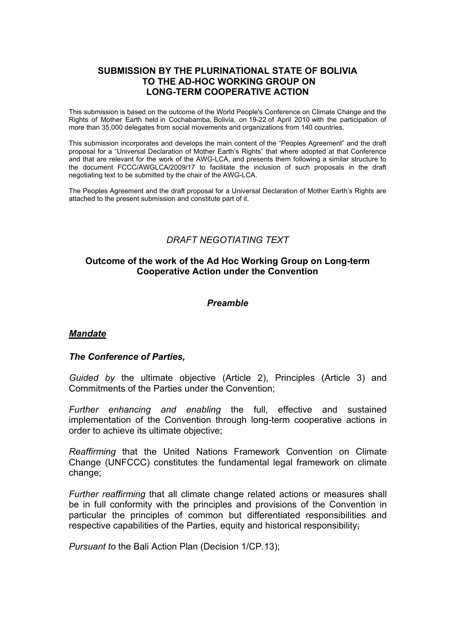### **SUBMISSION BY THE PLURINATIONAL STATE OF BOLIVIA TO THE AD-HOC WORKING GROUP ON LONG-TERM COOPERATIVE ACTION**

This submission is based on the outcome of the World People's Conference on Climate Change and the Rights of Mother Earth held in Cochabamba, Bolivia, on 19-22 of April 2010 with the participation of more than 35,000 delegates from social movements and organizations from 140 countries.

This submission incorporates and develops the main content of the "Peoples Agreement" and the draft proposal for a "Universal Declaration of Mother Earth's Rights" that where adopted at that Conference and that are relevant for the work of the AWG-LCA, and presents them following a similar structure to the document FCCC/AWGLCA/2009/17 to facilitate the inclusion of such proposals in the draft negotiating text to be submitted by the chair of the AWG-LCA.

The Peoples Agreement and the draft proposal for a Universal Declaration of Mother Earth's Rights are attached to the present submission and constitute part of it.

### *DRAFT NEGOTIATING TEXT*

#### **Outcome of the work of the Ad Hoc Working Group on Long-term Cooperative Action under the Convention**

#### *Preamble*

#### *Mandate*

#### *The Conference of Parties,*

*Guided by* the ultimate objective (Article 2), Principles (Article 3) and Commitments of the Parties under the Convention;

*Further enhancing and enabling* the full, effective and sustained implementation of the Convention through long-term cooperative actions in order to achieve its ultimate objective;

*Reaffirming* that the United Nations Framework Convention on Climate Change (UNFCCC) constitutes the fundamental legal framework on climate change;

*Further reaffirming* that all climate change related actions or measures shall be in full conformity with the principles and provisions of the Convention in particular the principles of common but differentiated responsibilities and respective capabilities of the Parties, equity and historical responsibility;

*Pursuant to* the Bali Action Plan (Decision 1/CP.13);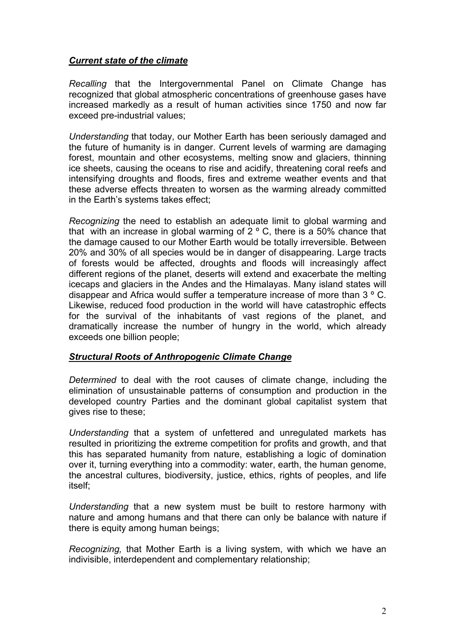### *Current state of the climate*

*Recalling* that the Intergovernmental Panel on Climate Change has recognized that global atmospheric concentrations of greenhouse gases have increased markedly as a result of human activities since 1750 and now far exceed pre-industrial values;

*Understanding* that today, our Mother Earth has been seriously damaged and the future of humanity is in danger. Current levels of warming are damaging forest, mountain and other ecosystems, melting snow and glaciers, thinning ice sheets, causing the oceans to rise and acidify, threatening coral reefs and intensifying droughts and floods, fires and extreme weather events and that these adverse effects threaten to worsen as the warming already committed in the Earth's systems takes effect;

*Recognizing* the need to establish an adequate limit to global warming and that with an increase in global warming of  $2^{\circ}$  C, there is a 50% chance that the damage caused to our Mother Earth would be totally irreversible. Between 20% and 30% of all species would be in danger of disappearing. Large tracts of forests would be affected, droughts and floods will increasingly affect different regions of the planet, deserts will extend and exacerbate the melting icecaps and glaciers in the Andes and the Himalayas. Many island states will disappear and Africa would suffer a temperature increase of more than 3 º C. Likewise, reduced food production in the world will have catastrophic effects for the survival of the inhabitants of vast regions of the planet, and dramatically increase the number of hungry in the world, which already exceeds one billion people;

### *Structural Roots of Anthropogenic Climate Change*

*Determined* to deal with the root causes of climate change, including the elimination of unsustainable patterns of consumption and production in the developed country Parties and the dominant global capitalist system that gives rise to these;

*Understanding* that a system of unfettered and unregulated markets has resulted in prioritizing the extreme competition for profits and growth, and that this has separated humanity from nature, establishing a logic of domination over it, turning everything into a commodity: water, earth, the human genome, the ancestral cultures, biodiversity, justice, ethics, rights of peoples, and life itself;

*Understanding* that a new system must be built to restore harmony with nature and among humans and that there can only be balance with nature if there is equity among human beings;

*Recognizing,* that Mother Earth is a living system, with which we have an indivisible, interdependent and complementary relationship;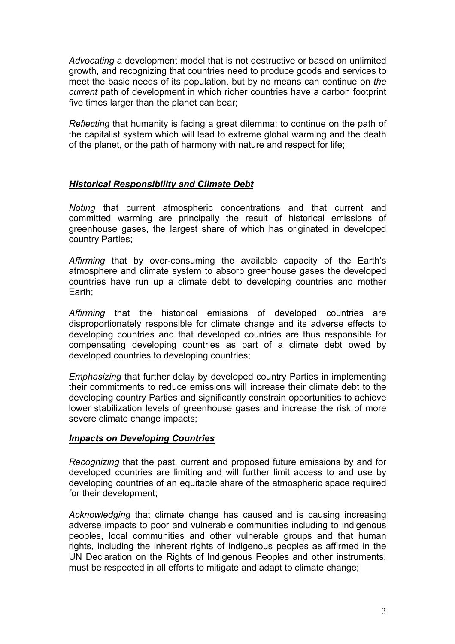*Advocating* a development model that is not destructive or based on unlimited growth, and recognizing that countries need to produce goods and services to meet the basic needs of its population, but by no means can continue on *the current* path of development in which richer countries have a carbon footprint five times larger than the planet can bear;

*Reflecting* that humanity is facing a great dilemma: to continue on the path of the capitalist system which will lead to extreme global warming and the death of the planet, or the path of harmony with nature and respect for life;

# *Historical Responsibility and Climate Debt*

*Noting* that current atmospheric concentrations and that current and committed warming are principally the result of historical emissions of greenhouse gases, the largest share of which has originated in developed country Parties;

Affirming that by over-consuming the available capacity of the Earth's atmosphere and climate system to absorb greenhouse gases the developed countries have run up a climate debt to developing countries and mother Earth;

*Affirming* that the historical emissions of developed countries are disproportionately responsible for climate change and its adverse effects to developing countries and that developed countries are thus responsible for compensating developing countries as part of a climate debt owed by developed countries to developing countries;

*Emphasizing* that further delay by developed country Parties in implementing their commitments to reduce emissions will increase their climate debt to the developing country Parties and significantly constrain opportunities to achieve lower stabilization levels of greenhouse gases and increase the risk of more severe climate change impacts;

# *Impacts on Developing Countries*

*Recognizing* that the past, current and proposed future emissions by and for developed countries are limiting and will further limit access to and use by developing countries of an equitable share of the atmospheric space required for their development;

*Acknowledging* that climate change has caused and is causing increasing adverse impacts to poor and vulnerable communities including to indigenous peoples, local communities and other vulnerable groups and that human rights, including the inherent rights of indigenous peoples as affirmed in the UN Declaration on the Rights of Indigenous Peoples and other instruments, must be respected in all efforts to mitigate and adapt to climate change;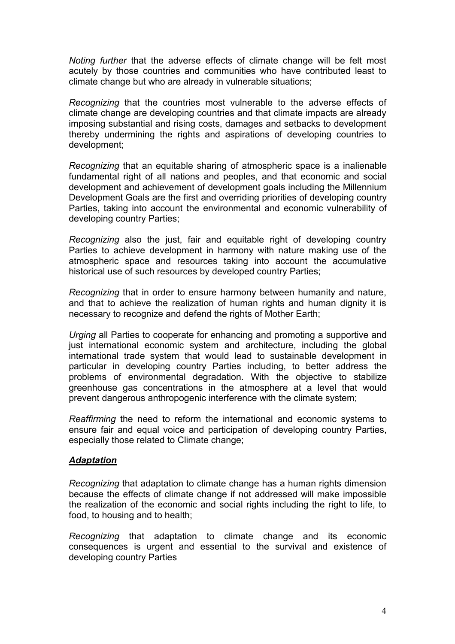*Noting further* that the adverse effects of climate change will be felt most acutely by those countries and communities who have contributed least to climate change but who are already in vulnerable situations;

*Recognizing* that the countries most vulnerable to the adverse effects of climate change are developing countries and that climate impacts are already imposing substantial and rising costs, damages and setbacks to development thereby undermining the rights and aspirations of developing countries to development;

*Recognizing* that an equitable sharing of atmospheric space is a inalienable fundamental right of all nations and peoples, and that economic and social development and achievement of development goals including the Millennium Development Goals are the first and overriding priorities of developing country Parties, taking into account the environmental and economic vulnerability of developing country Parties;

*Recognizing* also the just, fair and equitable right of developing country Parties to achieve development in harmony with nature making use of the atmospheric space and resources taking into account the accumulative historical use of such resources by developed country Parties;

*Recognizing* that in order to ensure harmony between humanity and nature, and that to achieve the realization of human rights and human dignity it is necessary to recognize and defend the rights of Mother Earth;

*Urging* all Parties to cooperate for enhancing and promoting a supportive and just international economic system and architecture, including the global international trade system that would lead to sustainable development in particular in developing country Parties including, to better address the problems of environmental degradation. With the objective to stabilize greenhouse gas concentrations in the atmosphere at a level that would prevent dangerous anthropogenic interference with the climate system;

*Reaffirming* the need to reform the international and economic systems to ensure fair and equal voice and participation of developing country Parties, especially those related to Climate change;

### *Adaptation*

*Recognizing* that adaptation to climate change has a human rights dimension because the effects of climate change if not addressed will make impossible the realization of the economic and social rights including the right to life, to food, to housing and to health;

*Recognizing* that adaptation to climate change and its economic consequences is urgent and essential to the survival and existence of developing country Parties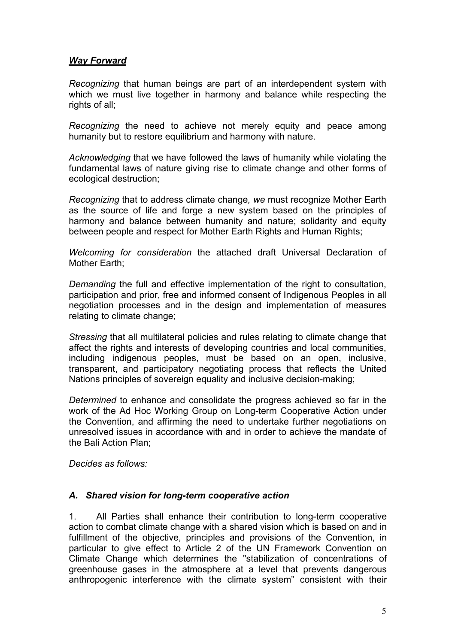# *Way Forward*

*Recognizing* that human beings are part of an interdependent system with which we must live together in harmony and balance while respecting the rights of all:

*Recognizing* the need to achieve not merely equity and peace among humanity but to restore equilibrium and harmony with nature.

*Acknowledging* that we have followed the laws of humanity while violating the fundamental laws of nature giving rise to climate change and other forms of ecological destruction;

*Recognizing* that to address climate change*, we* must recognize Mother Earth as the source of life and forge a new system based on the principles of harmony and balance between humanity and nature; solidarity and equity between people and respect for Mother Earth Rights and Human Rights;

*Welcoming for consideration* the attached draft Universal Declaration of Mother Earth;

*Demanding* the full and effective implementation of the right to consultation, participation and prior, free and informed consent of Indigenous Peoples in all negotiation processes and in the design and implementation of measures relating to climate change;

*Stressing* that all multilateral policies and rules relating to climate change that affect the rights and interests of developing countries and local communities, including indigenous peoples, must be based on an open, inclusive, transparent, and participatory negotiating process that reflects the United Nations principles of sovereign equality and inclusive decision-making;

*Determined* to enhance and consolidate the progress achieved so far in the work of the Ad Hoc Working Group on Long-term Cooperative Action under the Convention, and affirming the need to undertake further negotiations on unresolved issues in accordance with and in order to achieve the mandate of the Bali Action Plan;

*Decides as follows:* 

### *A. Shared vision for long-term cooperative action*

1. All Parties shall enhance their contribution to long-term cooperative action to combat climate change with a shared vision which is based on and in fulfillment of the objective, principles and provisions of the Convention, in particular to give effect to Article 2 of the UN Framework Convention on Climate Change which determines the "stabilization of concentrations of greenhouse gases in the atmosphere at a level that prevents dangerous anthropogenic interference with the climate system<sup>"</sup> consistent with their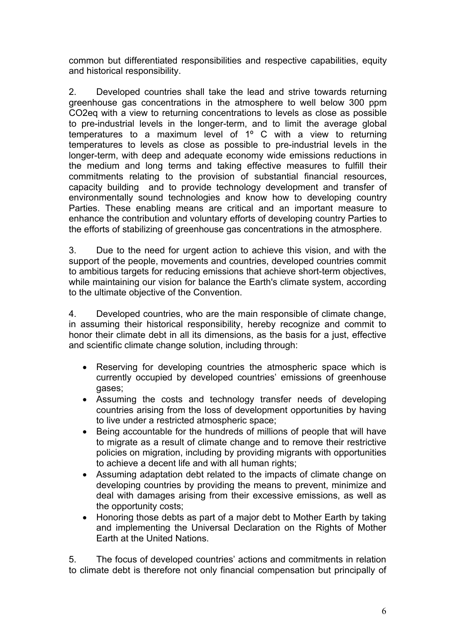common but differentiated responsibilities and respective capabilities, equity and historical responsibility.

2. Developed countries shall take the lead and strive towards returning greenhouse gas concentrations in the atmosphere to well below 300 ppm CO2eq with a view to returning concentrations to levels as close as possible to pre-industrial levels in the longer-term, and to limit the average global temperatures to a maximum level of 1º C with a view to returning temperatures to levels as close as possible to pre-industrial levels in the longer-term, with deep and adequate economy wide emissions reductions in the medium and long terms and taking effective measures to fulfill their commitments relating to the provision of substantial financial resources, capacity building and to provide technology development and transfer of environmentally sound technologies and know how to developing country Parties. These enabling means are critical and an important measure to enhance the contribution and voluntary efforts of developing country Parties to the efforts of stabilizing of greenhouse gas concentrations in the atmosphere.

3. Due to the need for urgent action to achieve this vision, and with the support of the people, movements and countries, developed countries commit to ambitious targets for reducing emissions that achieve short-term objectives, while maintaining our vision for balance the Earth's climate system, according to the ultimate objective of the Convention.

4. Developed countries, who are the main responsible of climate change, in assuming their historical responsibility, hereby recognize and commit to honor their climate debt in all its dimensions, as the basis for a just, effective and scientific climate change solution, including through:

- Reserving for developing countries the atmospheric space which is currently occupied by developed countries' emissions of greenhouse gases;
- Assuming the costs and technology transfer needs of developing countries arising from the loss of development opportunities by having to live under a restricted atmospheric space;
- Being accountable for the hundreds of millions of people that will have to migrate as a result of climate change and to remove their restrictive policies on migration, including by providing migrants with opportunities to achieve a decent life and with all human rights;
- Assuming adaptation debt related to the impacts of climate change on developing countries by providing the means to prevent, minimize and deal with damages arising from their excessive emissions, as well as the opportunity costs;
- Honoring those debts as part of a major debt to Mother Earth by taking and implementing the Universal Declaration on the Rights of Mother Earth at the United Nations.

5. The focus of developed countries' actions and commitments in relation to climate debt is therefore not only financial compensation but principally of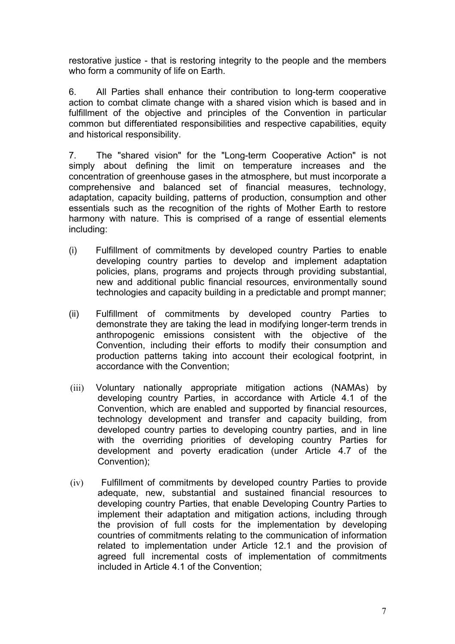restorative justice - that is restoring integrity to the people and the members who form a community of life on Earth.

6. All Parties shall enhance their contribution to long-term cooperative action to combat climate change with a shared vision which is based and in fulfillment of the objective and principles of the Convention in particular common but differentiated responsibilities and respective capabilities, equity and historical responsibility.

7. The "shared vision" for the "Long-term Cooperative Action" is not simply about defining the limit on temperature increases and the concentration of greenhouse gases in the atmosphere, but must incorporate a comprehensive and balanced set of financial measures, technology, adaptation, capacity building, patterns of production, consumption and other essentials such as the recognition of the rights of Mother Earth to restore harmony with nature. This is comprised of a range of essential elements including:

- (i) Fulfillment of commitments by developed country Parties to enable developing country parties to develop and implement adaptation policies, plans, programs and projects through providing substantial, new and additional public financial resources, environmentally sound technologies and capacity building in a predictable and prompt manner;
- (ii) Fulfillment of commitments by developed country Parties to demonstrate they are taking the lead in modifying longer-term trends in anthropogenic emissions consistent with the objective of the Convention, including their efforts to modify their consumption and production patterns taking into account their ecological footprint, in accordance with the Convention;
- (iii) Voluntary nationally appropriate mitigation actions (NAMAs) by developing country Parties, in accordance with Article 4.1 of the Convention, which are enabled and supported by financial resources, technology development and transfer and capacity building, from developed country parties to developing country parties, and in line with the overriding priorities of developing country Parties for development and poverty eradication (under Article 4.7 of the Convention);
- (iv) Fulfillment of commitments by developed country Parties to provide adequate, new, substantial and sustained financial resources to developing country Parties, that enable Developing Country Parties to implement their adaptation and mitigation actions, including through the provision of full costs for the implementation by developing countries of commitments relating to the communication of information related to implementation under Article 12.1 and the provision of agreed full incremental costs of implementation of commitments included in Article 4.1 of the Convention;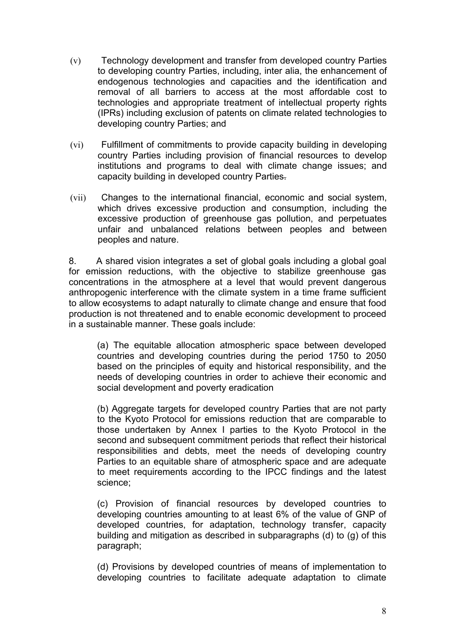- (v) Technology development and transfer from developed country Parties to developing country Parties, including, inter alia, the enhancement of endogenous technologies and capacities and the identification and removal of all barriers to access at the most affordable cost to technologies and appropriate treatment of intellectual property rights (IPRs) including exclusion of patents on climate related technologies to developing country Parties; and
- (vi) Fulfillment of commitments to provide capacity building in developing country Parties including provision of financial resources to develop institutions and programs to deal with climate change issues; and capacity building in developed country Parties.
- (vii) Changes to the international financial, economic and social system, which drives excessive production and consumption, including the excessive production of greenhouse gas pollution, and perpetuates unfair and unbalanced relations between peoples and between peoples and nature.

8. A shared vision integrates a set of global goals including a global goal for emission reductions, with the objective to stabilize greenhouse gas concentrations in the atmosphere at a level that would prevent dangerous anthropogenic interference with the climate system in a time frame sufficient to allow ecosystems to adapt naturally to climate change and ensure that food production is not threatened and to enable economic development to proceed in a sustainable manner. These goals include:

(a) The equitable allocation atmospheric space between developed countries and developing countries during the period 1750 to 2050 based on the principles of equity and historical responsibility, and the needs of developing countries in order to achieve their economic and social development and poverty eradication

(b) Aggregate targets for developed country Parties that are not party to the Kyoto Protocol for emissions reduction that are comparable to those undertaken by Annex I parties to the Kyoto Protocol in the second and subsequent commitment periods that reflect their historical responsibilities and debts, meet the needs of developing country Parties to an equitable share of atmospheric space and are adequate to meet requirements according to the IPCC findings and the latest science;

(c) Provision of financial resources by developed countries to developing countries amounting to at least 6% of the value of GNP of developed countries, for adaptation, technology transfer, capacity building and mitigation as described in subparagraphs (d) to (g) of this paragraph;

(d) Provisions by developed countries of means of implementation to developing countries to facilitate adequate adaptation to climate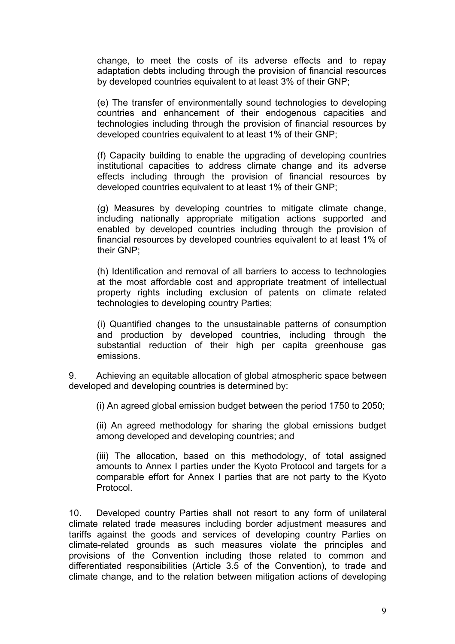change, to meet the costs of its adverse effects and to repay adaptation debts including through the provision of financial resources by developed countries equivalent to at least 3% of their GNP;

(e) The transfer of environmentally sound technologies to developing countries and enhancement of their endogenous capacities and technologies including through the provision of financial resources by developed countries equivalent to at least 1% of their GNP;

(f) Capacity building to enable the upgrading of developing countries institutional capacities to address climate change and its adverse effects including through the provision of financial resources by developed countries equivalent to at least 1% of their GNP;

(g) Measures by developing countries to mitigate climate change, including nationally appropriate mitigation actions supported and enabled by developed countries including through the provision of financial resources by developed countries equivalent to at least 1% of their GNP;

(h) Identification and removal of all barriers to access to technologies at the most affordable cost and appropriate treatment of intellectual property rights including exclusion of patents on climate related technologies to developing country Parties;

(i) Quantified changes to the unsustainable patterns of consumption and production by developed countries, including through the substantial reduction of their high per capita greenhouse gas emissions.

9. Achieving an equitable allocation of global atmospheric space between developed and developing countries is determined by:

(i) An agreed global emission budget between the period 1750 to 2050;

(ii) An agreed methodology for sharing the global emissions budget among developed and developing countries; and

(iii) The allocation, based on this methodology, of total assigned amounts to Annex I parties under the Kyoto Protocol and targets for a comparable effort for Annex I parties that are not party to the Kyoto Protocol.

10. Developed country Parties shall not resort to any form of unilateral climate related trade measures including border adjustment measures and tariffs against the goods and services of developing country Parties on climate-related grounds as such measures violate the principles and provisions of the Convention including those related to common and differentiated responsibilities (Article 3.5 of the Convention), to trade and climate change, and to the relation between mitigation actions of developing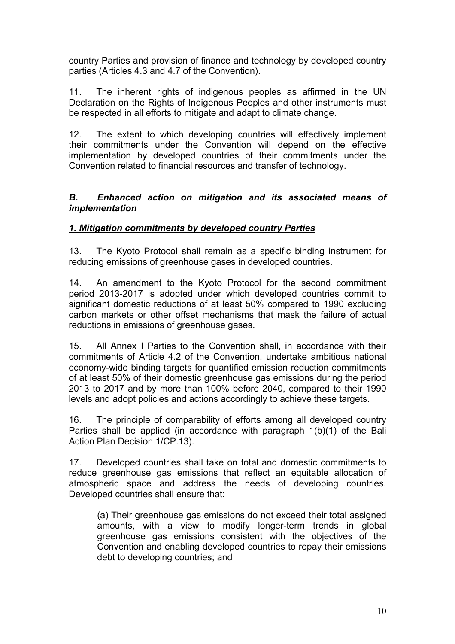country Parties and provision of finance and technology by developed country parties (Articles 4.3 and 4.7 of the Convention).

11. The inherent rights of indigenous peoples as affirmed in the UN Declaration on the Rights of Indigenous Peoples and other instruments must be respected in all efforts to mitigate and adapt to climate change.

12. The extent to which developing countries will effectively implement their commitments under the Convention will depend on the effective implementation by developed countries of their commitments under the Convention related to financial resources and transfer of technology.

### *B. Enhanced action on mitigation and its associated means of implementation*

# *1. Mitigation commitments by developed country Parties*

13. The Kyoto Protocol shall remain as a specific binding instrument for reducing emissions of greenhouse gases in developed countries.

14. An amendment to the Kyoto Protocol for the second commitment period 2013-2017 is adopted under which developed countries commit to significant domestic reductions of at least 50% compared to 1990 excluding carbon markets or other offset mechanisms that mask the failure of actual reductions in emissions of greenhouse gases.

15. All Annex I Parties to the Convention shall, in accordance with their commitments of Article 4.2 of the Convention, undertake ambitious national economy-wide binding targets for quantified emission reduction commitments of at least 50% of their domestic greenhouse gas emissions during the period 2013 to 2017 and by more than 100% before 2040, compared to their 1990 levels and adopt policies and actions accordingly to achieve these targets.

16. The principle of comparability of efforts among all developed country Parties shall be applied (in accordance with paragraph 1(b)(1) of the Bali Action Plan Decision 1/CP.13).

17. Developed countries shall take on total and domestic commitments to reduce greenhouse gas emissions that reflect an equitable allocation of atmospheric space and address the needs of developing countries. Developed countries shall ensure that:

(a) Their greenhouse gas emissions do not exceed their total assigned amounts, with a view to modify longer-term trends in global greenhouse gas emissions consistent with the objectives of the Convention and enabling developed countries to repay their emissions debt to developing countries; and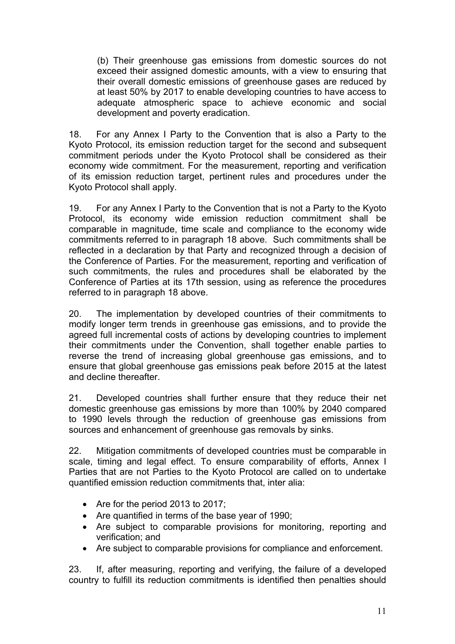(b) Their greenhouse gas emissions from domestic sources do not exceed their assigned domestic amounts, with a view to ensuring that their overall domestic emissions of greenhouse gases are reduced by at least 50% by 2017 to enable developing countries to have access to adequate atmospheric space to achieve economic and social development and poverty eradication.

18. For any Annex I Party to the Convention that is also a Party to the Kyoto Protocol, its emission reduction target for the second and subsequent commitment periods under the Kyoto Protocol shall be considered as their economy wide commitment. For the measurement, reporting and verification of its emission reduction target, pertinent rules and procedures under the Kyoto Protocol shall apply.

19. For any Annex I Party to the Convention that is not a Party to the Kyoto Protocol, its economy wide emission reduction commitment shall be comparable in magnitude, time scale and compliance to the economy wide commitments referred to in paragraph 18 above. Such commitments shall be reflected in a declaration by that Party and recognized through a decision of the Conference of Parties. For the measurement, reporting and verification of such commitments, the rules and procedures shall be elaborated by the Conference of Parties at its 17th session, using as reference the procedures referred to in paragraph 18 above.

20. The implementation by developed countries of their commitments to modify longer term trends in greenhouse gas emissions, and to provide the agreed full incremental costs of actions by developing countries to implement their commitments under the Convention, shall together enable parties to reverse the trend of increasing global greenhouse gas emissions, and to ensure that global greenhouse gas emissions peak before 2015 at the latest and decline thereafter.

21. Developed countries shall further ensure that they reduce their net domestic greenhouse gas emissions by more than 100% by 2040 compared to 1990 levels through the reduction of greenhouse gas emissions from sources and enhancement of greenhouse gas removals by sinks.

22. Mitigation commitments of developed countries must be comparable in scale, timing and legal effect. To ensure comparability of efforts, Annex I Parties that are not Parties to the Kyoto Protocol are called on to undertake quantified emission reduction commitments that, inter alia:

- Are for the period 2013 to 2017;
- Are quantified in terms of the base year of 1990;
- Are subject to comparable provisions for monitoring, reporting and verification; and
- Are subject to comparable provisions for compliance and enforcement.

23. If, after measuring, reporting and verifying, the failure of a developed country to fulfill its reduction commitments is identified then penalties should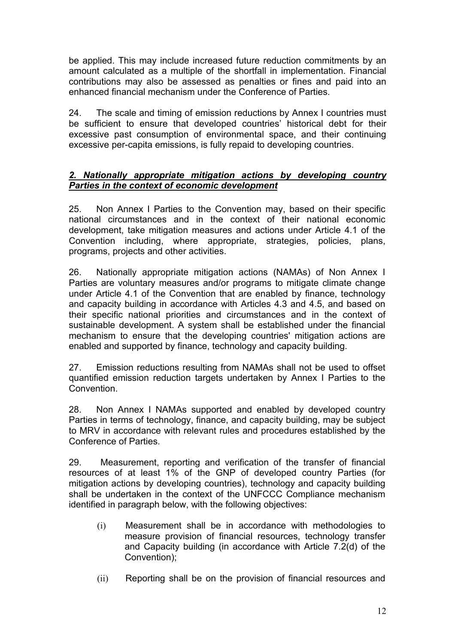be applied. This may include increased future reduction commitments by an amount calculated as a multiple of the shortfall in implementation. Financial contributions may also be assessed as penalties or fines and paid into an enhanced financial mechanism under the Conference of Parties.

24. The scale and timing of emission reductions by Annex I countries must be sufficient to ensure that developed countries' historical debt for their excessive past consumption of environmental space, and their continuing excessive per-capita emissions, is fully repaid to developing countries.

### *2. Nationally appropriate mitigation actions by developing country Parties in the context of economic development*

25. Non Annex I Parties to the Convention may, based on their specific national circumstances and in the context of their national economic development, take mitigation measures and actions under Article 4.1 of the Convention including, where appropriate, strategies, policies, plans, programs, projects and other activities.

26. Nationally appropriate mitigation actions (NAMAs) of Non Annex I Parties are voluntary measures and/or programs to mitigate climate change under Article 4.1 of the Convention that are enabled by finance, technology and capacity building in accordance with Articles 4.3 and 4.5, and based on their specific national priorities and circumstances and in the context of sustainable development. A system shall be established under the financial mechanism to ensure that the developing countries' mitigation actions are enabled and supported by finance, technology and capacity building.

27. Emission reductions resulting from NAMAs shall not be used to offset quantified emission reduction targets undertaken by Annex I Parties to the Convention.

28. Non Annex I NAMAs supported and enabled by developed country Parties in terms of technology, finance, and capacity building, may be subject to MRV in accordance with relevant rules and procedures established by the Conference of Parties.

29. Measurement, reporting and verification of the transfer of financial resources of at least 1% of the GNP of developed country Parties (for mitigation actions by developing countries), technology and capacity building shall be undertaken in the context of the UNFCCC Compliance mechanism identified in paragraph below, with the following objectives:

- (i) Measurement shall be in accordance with methodologies to measure provision of financial resources, technology transfer and Capacity building (in accordance with Article 7.2(d) of the Convention);
- (ii) Reporting shall be on the provision of financial resources and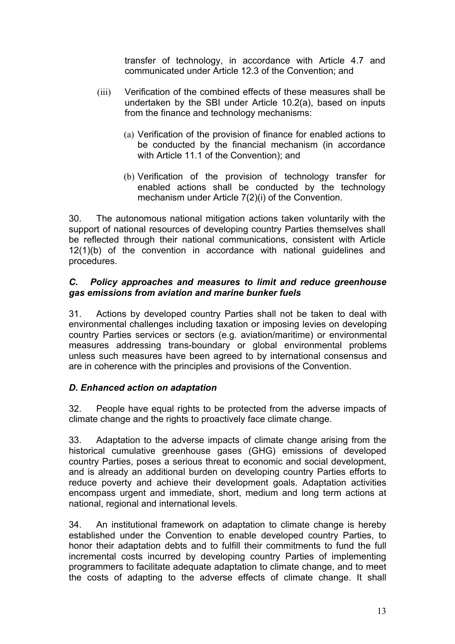transfer of technology, in accordance with Article 4.7 and communicated under Article 12.3 of the Convention; and

- (iii) Verification of the combined effects of these measures shall be undertaken by the SBI under Article 10.2(a), based on inputs from the finance and technology mechanisms:
	- (a) Verification of the provision of finance for enabled actions to be conducted by the financial mechanism (in accordance with Article 11.1 of the Convention); and
	- (b) Verification of the provision of technology transfer for enabled actions shall be conducted by the technology mechanism under Article 7(2)(i) of the Convention.

30. The autonomous national mitigation actions taken voluntarily with the support of national resources of developing country Parties themselves shall be reflected through their national communications, consistent with Article 12(1)(b) of the convention in accordance with national guidelines and procedures.

### *C. Policy approaches and measures to limit and reduce greenhouse gas emissions from aviation and marine bunker fuels*

31. Actions by developed country Parties shall not be taken to deal with environmental challenges including taxation or imposing levies on developing country Parties services or sectors (e.g. aviation/maritime) or environmental measures addressing trans-boundary or global environmental problems unless such measures have been agreed to by international consensus and are in coherence with the principles and provisions of the Convention.

# *D. Enhanced action on adaptation*

32. People have equal rights to be protected from the adverse impacts of climate change and the rights to proactively face climate change.

33. Adaptation to the adverse impacts of climate change arising from the historical cumulative greenhouse gases (GHG) emissions of developed country Parties, poses a serious threat to economic and social development, and is already an additional burden on developing country Parties efforts to reduce poverty and achieve their development goals. Adaptation activities encompass urgent and immediate, short, medium and long term actions at national, regional and international levels.

34. An institutional framework on adaptation to climate change is hereby established under the Convention to enable developed country Parties, to honor their adaptation debts and to fulfill their commitments to fund the full incremental costs incurred by developing country Parties of implementing programmers to facilitate adequate adaptation to climate change, and to meet the costs of adapting to the adverse effects of climate change. It shall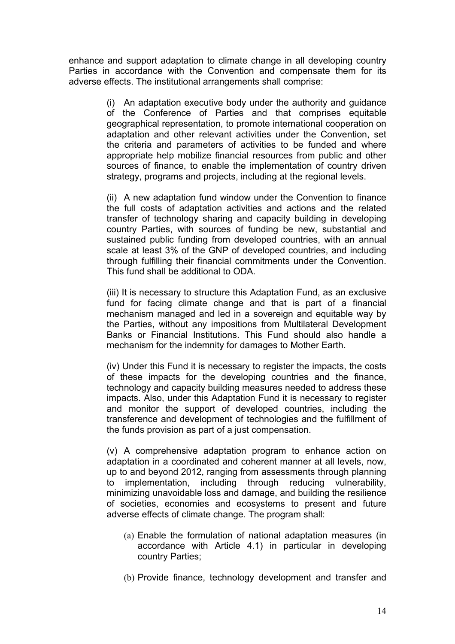enhance and support adaptation to climate change in all developing country Parties in accordance with the Convention and compensate them for its adverse effects. The institutional arrangements shall comprise:

> (i) An adaptation executive body under the authority and guidance of the Conference of Parties and that comprises equitable geographical representation, to promote international cooperation on adaptation and other relevant activities under the Convention, set the criteria and parameters of activities to be funded and where appropriate help mobilize financial resources from public and other sources of finance, to enable the implementation of country driven strategy, programs and projects, including at the regional levels.

> (ii) A new adaptation fund window under the Convention to finance the full costs of adaptation activities and actions and the related transfer of technology sharing and capacity building in developing country Parties, with sources of funding be new, substantial and sustained public funding from developed countries, with an annual scale at least 3% of the GNP of developed countries, and including through fulfilling their financial commitments under the Convention. This fund shall be additional to ODA.

> (iii) It is necessary to structure this Adaptation Fund, as an exclusive fund for facing climate change and that is part of a financial mechanism managed and led in a sovereign and equitable way by the Parties, without any impositions from Multilateral Development Banks or Financial Institutions. This Fund should also handle a mechanism for the indemnity for damages to Mother Earth.

> (iv) Under this Fund it is necessary to register the impacts, the costs of these impacts for the developing countries and the finance, technology and capacity building measures needed to address these impacts. Also, under this Adaptation Fund it is necessary to register and monitor the support of developed countries, including the transference and development of technologies and the fulfillment of the funds provision as part of a just compensation.

> (v) A comprehensive adaptation program to enhance action on adaptation in a coordinated and coherent manner at all levels, now, up to and beyond 2012, ranging from assessments through planning to implementation, including through reducing vulnerability, minimizing unavoidable loss and damage, and building the resilience of societies, economies and ecosystems to present and future adverse effects of climate change. The program shall:

- (a) Enable the formulation of national adaptation measures (in accordance with Article 4.1) in particular in developing country Parties;
- (b) Provide finance, technology development and transfer and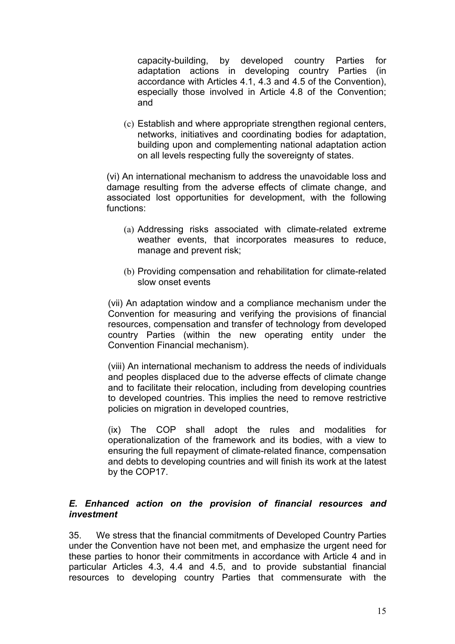capacity-building, by developed country Parties for adaptation actions in developing country Parties (in accordance with Articles 4.1, 4.3 and 4.5 of the Convention), especially those involved in Article 4.8 of the Convention; and

(c) Establish and where appropriate strengthen regional centers, networks, initiatives and coordinating bodies for adaptation, building upon and complementing national adaptation action on all levels respecting fully the sovereignty of states.

(vi) An international mechanism to address the unavoidable loss and damage resulting from the adverse effects of climate change, and associated lost opportunities for development, with the following functions:

- (a) Addressing risks associated with climate-related extreme weather events, that incorporates measures to reduce, manage and prevent risk;
- (b) Providing compensation and rehabilitation for climate-related slow onset events

(vii) An adaptation window and a compliance mechanism under the Convention for measuring and verifying the provisions of financial resources, compensation and transfer of technology from developed country Parties (within the new operating entity under the Convention Financial mechanism).

(viii) An international mechanism to address the needs of individuals and peoples displaced due to the adverse effects of climate change and to facilitate their relocation, including from developing countries to developed countries. This implies the need to remove restrictive policies on migration in developed countries,

(ix) The COP shall adopt the rules and modalities for operationalization of the framework and its bodies, with a view to ensuring the full repayment of climate-related finance, compensation and debts to developing countries and will finish its work at the latest by the COP17.

### *E. Enhanced action on the provision of financial resources and investment*

35. We stress that the financial commitments of Developed Country Parties under the Convention have not been met, and emphasize the urgent need for these parties to honor their commitments in accordance with Article 4 and in particular Articles 4.3, 4.4 and 4.5, and to provide substantial financial resources to developing country Parties that commensurate with the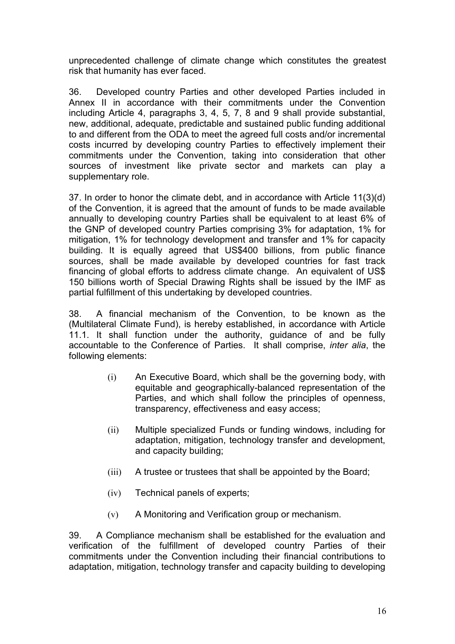unprecedented challenge of climate change which constitutes the greatest risk that humanity has ever faced.

36. Developed country Parties and other developed Parties included in Annex II in accordance with their commitments under the Convention including Article 4, paragraphs 3, 4, 5, 7, 8 and 9 shall provide substantial, new, additional, adequate, predictable and sustained public funding additional to and different from the ODA to meet the agreed full costs and/or incremental costs incurred by developing country Parties to effectively implement their commitments under the Convention, taking into consideration that other sources of investment like private sector and markets can play a supplementary role.

37. In order to honor the climate debt, and in accordance with Article 11(3)(d) of the Convention, it is agreed that the amount of funds to be made available annually to developing country Parties shall be equivalent to at least 6% of the GNP of developed country Parties comprising 3% for adaptation, 1% for mitigation, 1% for technology development and transfer and 1% for capacity building. It is equally agreed that US\$400 billions, from public finance sources, shall be made available by developed countries for fast track financing of global efforts to address climate change. An equivalent of US\$ 150 billions worth of Special Drawing Rights shall be issued by the IMF as partial fulfillment of this undertaking by developed countries.

38. A financial mechanism of the Convention, to be known as the (Multilateral Climate Fund), is hereby established, in accordance with Article 11.1. It shall function under the authority, guidance of and be fully accountable to the Conference of Parties. It shall comprise, *inter alia*, the following elements:

- (i) An Executive Board, which shall be the governing body, with equitable and geographically-balanced representation of the Parties, and which shall follow the principles of openness, transparency, effectiveness and easy access;
- (ii) Multiple specialized Funds or funding windows, including for adaptation, mitigation, technology transfer and development, and capacity building;
- (iii) A trustee or trustees that shall be appointed by the Board;
- (iv) Technical panels of experts;
- (v) A Monitoring and Verification group or mechanism.

39. A Compliance mechanism shall be established for the evaluation and verification of the fulfillment of developed country Parties of their commitments under the Convention including their financial contributions to adaptation, mitigation, technology transfer and capacity building to developing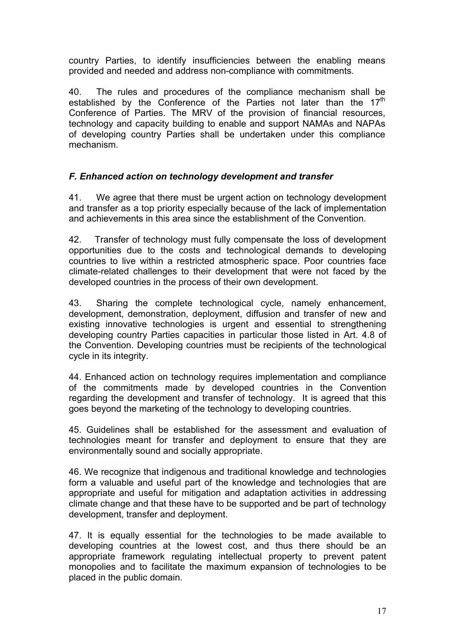country Parties, to identify insufficiencies between the enabling means provided and needed and address non-compliance with commitments.

40. The rules and procedures of the compliance mechanism shall be established by the Conference of the Parties not later than the  $17<sup>th</sup>$ Conference of Parties. The MRV of the provision of financial resources, technology and capacity building to enable and support NAMAs and NAPAs of developing country Parties shall be undertaken under this compliance mechanism.

# *F. Enhanced action on technology development and transfer*

41. We agree that there must be urgent action on technology development and transfer as a top priority especially because of the lack of implementation and achievements in this area since the establishment of the Convention.

42. Transfer of technology must fully compensate the loss of development opportunities due to the costs and technological demands to developing countries to live within a restricted atmospheric space. Poor countries face climate-related challenges to their development that were not faced by the developed countries in the process of their own development.

43. Sharing the complete technological cycle, namely enhancement, development, demonstration, deployment, diffusion and transfer of new and existing innovative technologies is urgent and essential to strengthening developing country Parties capacities in particular those listed in Art. 4.8 of the Convention. Developing countries must be recipients of the technological cycle in its integrity.

44. Enhanced action on technology requires implementation and compliance of the commitments made by developed countries in the Convention regarding the development and transfer of technology. It is agreed that this goes beyond the marketing of the technology to developing countries.

45. Guidelines shall be established for the assessment and evaluation of technologies meant for transfer and deployment to ensure that they are environmentally sound and socially appropriate.

46. We recognize that indigenous and traditional knowledge and technologies form a valuable and useful part of the knowledge and technologies that are appropriate and useful for mitigation and adaptation activities in addressing climate change and that these have to be supported and be part of technology development, transfer and deployment.

47. It is equally essential for the technologies to be made available to developing countries at the lowest cost, and thus there should be an appropriate framework regulating intellectual property to prevent patent monopolies and to facilitate the maximum expansion of technologies to be placed in the public domain.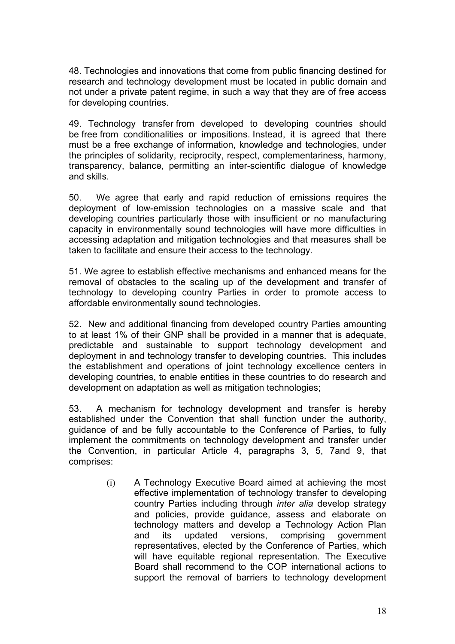48. Technologies and innovations that come from public financing destined for research and technology development must be located in public domain and not under a private patent regime, in such a way that they are of free access for developing countries.

49. Technology transfer from developed to developing countries should be free from conditionalities or impositions. Instead, it is agreed that there must be a free exchange of information, knowledge and technologies, under the principles of solidarity, reciprocity, respect, complementariness, harmony, transparency, balance, permitting an inter-scientific dialogue of knowledge and skills.

50. We agree that early and rapid reduction of emissions requires the deployment of low-emission technologies on a massive scale and that developing countries particularly those with insufficient or no manufacturing capacity in environmentally sound technologies will have more difficulties in accessing adaptation and mitigation technologies and that measures shall be taken to facilitate and ensure their access to the technology.

51. We agree to establish effective mechanisms and enhanced means for the removal of obstacles to the scaling up of the development and transfer of technology to developing country Parties in order to promote access to affordable environmentally sound technologies.

52. New and additional financing from developed country Parties amounting to at least 1% of their GNP shall be provided in a manner that is adequate, predictable and sustainable to support technology development and deployment in and technology transfer to developing countries. This includes the establishment and operations of joint technology excellence centers in developing countries, to enable entities in these countries to do research and development on adaptation as well as mitigation technologies;

53. A mechanism for technology development and transfer is hereby established under the Convention that shall function under the authority, guidance of and be fully accountable to the Conference of Parties, to fully implement the commitments on technology development and transfer under the Convention, in particular Article 4, paragraphs 3, 5, 7and 9, that comprises:

> (i) A Technology Executive Board aimed at achieving the most effective implementation of technology transfer to developing country Parties including through *inter alia* develop strategy and policies, provide guidance, assess and elaborate on technology matters and develop a Technology Action Plan and its updated versions, comprising government representatives, elected by the Conference of Parties, which will have equitable regional representation. The Executive Board shall recommend to the COP international actions to support the removal of barriers to technology development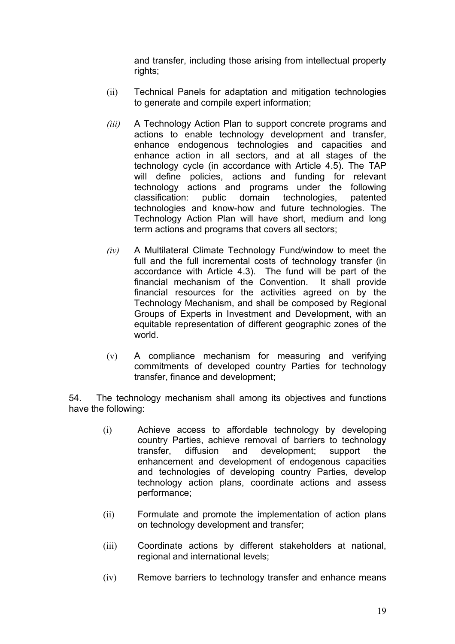and transfer, including those arising from intellectual property rights;

- (ii) Technical Panels for adaptation and mitigation technologies to generate and compile expert information;
- *(iii)* A Technology Action Plan to support concrete programs and actions to enable technology development and transfer, enhance endogenous technologies and capacities and enhance action in all sectors, and at all stages of the technology cycle (in accordance with Article 4.5). The TAP will define policies, actions and funding for relevant technology actions and programs under the following classification: public domain technologies, patented technologies and know-how and future technologies. The Technology Action Plan will have short, medium and long term actions and programs that covers all sectors;
- *(iv)* A Multilateral Climate Technology Fund/window to meet the full and the full incremental costs of technology transfer (in accordance with Article 4.3). The fund will be part of the financial mechanism of the Convention. It shall provide financial resources for the activities agreed on by the Technology Mechanism, and shall be composed by Regional Groups of Experts in Investment and Development, with an equitable representation of different geographic zones of the world.
- (v) A compliance mechanism for measuring and verifying commitments of developed country Parties for technology transfer, finance and development;

54. The technology mechanism shall among its objectives and functions have the following:

- (i) Achieve access to affordable technology by developing country Parties, achieve removal of barriers to technology transfer, diffusion and development; support the enhancement and development of endogenous capacities and technologies of developing country Parties, develop technology action plans, coordinate actions and assess performance;
- (ii) Formulate and promote the implementation of action plans on technology development and transfer;
- (iii) Coordinate actions by different stakeholders at national, regional and international levels;
- (iv) Remove barriers to technology transfer and enhance means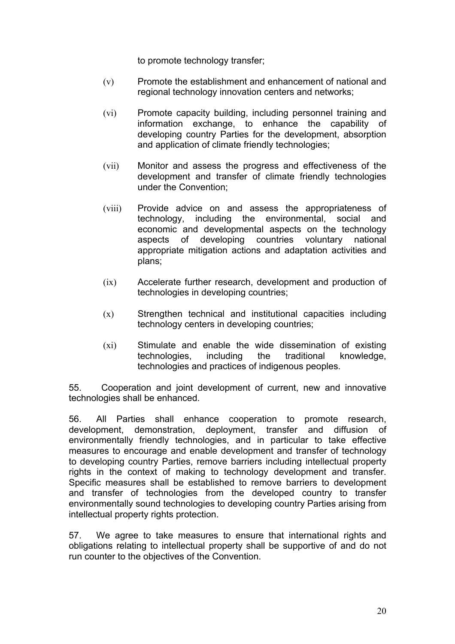to promote technology transfer;

- (v) Promote the establishment and enhancement of national and regional technology innovation centers and networks;
- (vi) Promote capacity building, including personnel training and information exchange, to enhance the capability of developing country Parties for the development, absorption and application of climate friendly technologies;
- (vii) Monitor and assess the progress and effectiveness of the development and transfer of climate friendly technologies under the Convention;
- (viii) Provide advice on and assess the appropriateness of technology, including the environmental, social and economic and developmental aspects on the technology aspects of developing countries voluntary national appropriate mitigation actions and adaptation activities and plans;
- (ix) Accelerate further research, development and production of technologies in developing countries;
- (x) Strengthen technical and institutional capacities including technology centers in developing countries;
- (xi) Stimulate and enable the wide dissemination of existing technologies, including the traditional knowledge, technologies and practices of indigenous peoples.

55. Cooperation and joint development of current, new and innovative technologies shall be enhanced.

56. All Parties shall enhance cooperation to promote research, development, demonstration, deployment, transfer and diffusion of environmentally friendly technologies, and in particular to take effective measures to encourage and enable development and transfer of technology to developing country Parties, remove barriers including intellectual property rights in the context of making to technology development and transfer. Specific measures shall be established to remove barriers to development and transfer of technologies from the developed country to transfer environmentally sound technologies to developing country Parties arising from intellectual property rights protection.

57. We agree to take measures to ensure that international rights and obligations relating to intellectual property shall be supportive of and do not run counter to the objectives of the Convention.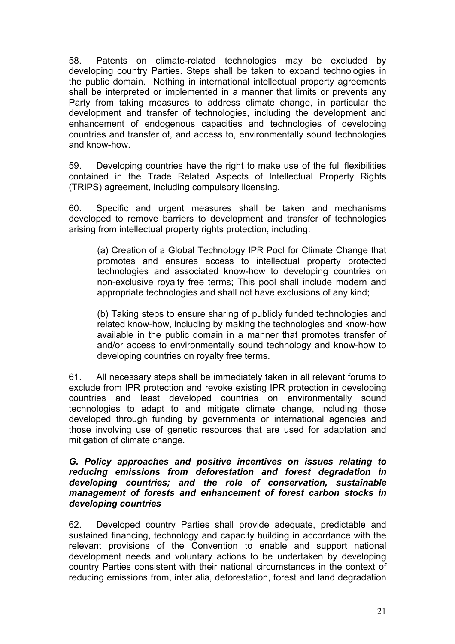58. Patents on climate-related technologies may be excluded by developing country Parties. Steps shall be taken to expand technologies in the public domain. Nothing in international intellectual property agreements shall be interpreted or implemented in a manner that limits or prevents any Party from taking measures to address climate change, in particular the development and transfer of technologies, including the development and enhancement of endogenous capacities and technologies of developing countries and transfer of, and access to, environmentally sound technologies and know-how.

59. Developing countries have the right to make use of the full flexibilities contained in the Trade Related Aspects of Intellectual Property Rights (TRIPS) agreement, including compulsory licensing.

60. Specific and urgent measures shall be taken and mechanisms developed to remove barriers to development and transfer of technologies arising from intellectual property rights protection, including:

(a) Creation of a Global Technology IPR Pool for Climate Change that promotes and ensures access to intellectual property protected technologies and associated know-how to developing countries on non-exclusive royalty free terms; This pool shall include modern and appropriate technologies and shall not have exclusions of any kind;

(b) Taking steps to ensure sharing of publicly funded technologies and related know-how, including by making the technologies and know-how available in the public domain in a manner that promotes transfer of and/or access to environmentally sound technology and know-how to developing countries on royalty free terms.

61. All necessary steps shall be immediately taken in all relevant forums to exclude from IPR protection and revoke existing IPR protection in developing countries and least developed countries on environmentally sound technologies to adapt to and mitigate climate change, including those developed through funding by governments or international agencies and those involving use of genetic resources that are used for adaptation and mitigation of climate change.

#### *G. Policy approaches and positive incentives on issues relating to reducing emissions from deforestation and forest degradation in developing countries; and the role of conservation, sustainable management of forests and enhancement of forest carbon stocks in developing countries*

62. Developed country Parties shall provide adequate, predictable and sustained financing, technology and capacity building in accordance with the relevant provisions of the Convention to enable and support national development needs and voluntary actions to be undertaken by developing country Parties consistent with their national circumstances in the context of reducing emissions from, inter alia, deforestation, forest and land degradation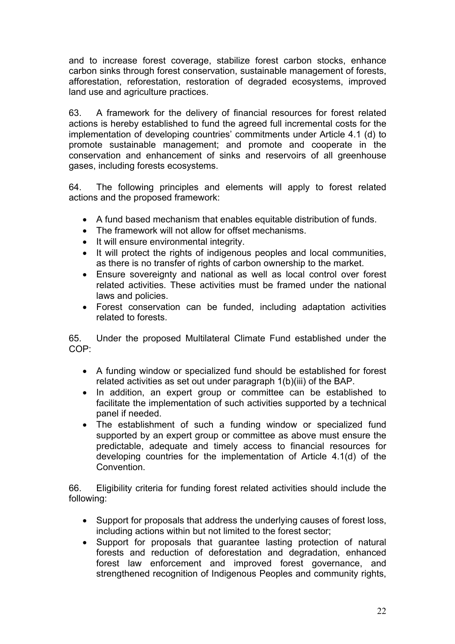and to increase forest coverage, stabilize forest carbon stocks, enhance carbon sinks through forest conservation, sustainable management of forests, afforestation, reforestation, restoration of degraded ecosystems, improved land use and agriculture practices.

63. A framework for the delivery of financial resources for forest related actions is hereby established to fund the agreed full incremental costs for the implementation of developing countries' commitments under Article 4.1 (d) to promote sustainable management; and promote and cooperate in the conservation and enhancement of sinks and reservoirs of all greenhouse gases, including forests ecosystems.

64. The following principles and elements will apply to forest related actions and the proposed framework:

- A fund based mechanism that enables equitable distribution of funds.
- The framework will not allow for offset mechanisms.
- It will ensure environmental integrity.
- It will protect the rights of indigenous peoples and local communities, as there is no transfer of rights of carbon ownership to the market.
- Ensure sovereignty and national as well as local control over forest related activities. These activities must be framed under the national laws and policies.
- Forest conservation can be funded, including adaptation activities related to forests.

65. Under the proposed Multilateral Climate Fund established under the COP:

- A funding window or specialized fund should be established for forest related activities as set out under paragraph 1(b)(iii) of the BAP.
- In addition, an expert group or committee can be established to facilitate the implementation of such activities supported by a technical panel if needed.
- The establishment of such a funding window or specialized fund supported by an expert group or committee as above must ensure the predictable, adequate and timely access to financial resources for developing countries for the implementation of Article 4.1(d) of the Convention.

66. Eligibility criteria for funding forest related activities should include the following:

- Support for proposals that address the underlying causes of forest loss, including actions within but not limited to the forest sector;
- Support for proposals that guarantee lasting protection of natural forests and reduction of deforestation and degradation, enhanced forest law enforcement and improved forest governance, and strengthened recognition of Indigenous Peoples and community rights,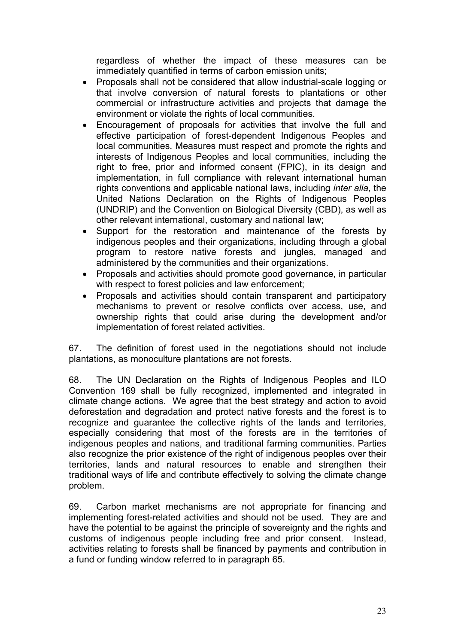regardless of whether the impact of these measures can be immediately quantified in terms of carbon emission units;

- Proposals shall not be considered that allow industrial-scale logging or that involve conversion of natural forests to plantations or other commercial or infrastructure activities and projects that damage the environment or violate the rights of local communities.
- Encouragement of proposals for activities that involve the full and effective participation of forest-dependent Indigenous Peoples and local communities. Measures must respect and promote the rights and interests of Indigenous Peoples and local communities, including the right to free, prior and informed consent (FPIC), in its design and implementation, in full compliance with relevant international human rights conventions and applicable national laws, including *inter alia*, the United Nations Declaration on the Rights of Indigenous Peoples (UNDRIP) and the Convention on Biological Diversity (CBD), as well as other relevant international, customary and national law;
- Support for the restoration and maintenance of the forests by indigenous peoples and their organizations, including through a global program to restore native forests and jungles, managed and administered by the communities and their organizations.
- Proposals and activities should promote good governance, in particular with respect to forest policies and law enforcement;
- Proposals and activities should contain transparent and participatory mechanisms to prevent or resolve conflicts over access, use, and ownership rights that could arise during the development and/or implementation of forest related activities.

67. The definition of forest used in the negotiations should not include plantations, as monoculture plantations are not forests.

68. The UN Declaration on the Rights of Indigenous Peoples and ILO Convention 169 shall be fully recognized, implemented and integrated in climate change actions. We agree that the best strategy and action to avoid deforestation and degradation and protect native forests and the forest is to recognize and guarantee the collective rights of the lands and territories, especially considering that most of the forests are in the territories of indigenous peoples and nations, and traditional farming communities. Parties also recognize the prior existence of the right of indigenous peoples over their territories, lands and natural resources to enable and strengthen their traditional ways of life and contribute effectively to solving the climate change problem.

69. Carbon market mechanisms are not appropriate for financing and implementing forest-related activities and should not be used. They are and have the potential to be against the principle of sovereignty and the rights and customs of indigenous people including free and prior consent. Instead, activities relating to forests shall be financed by payments and contribution in a fund or funding window referred to in paragraph 65.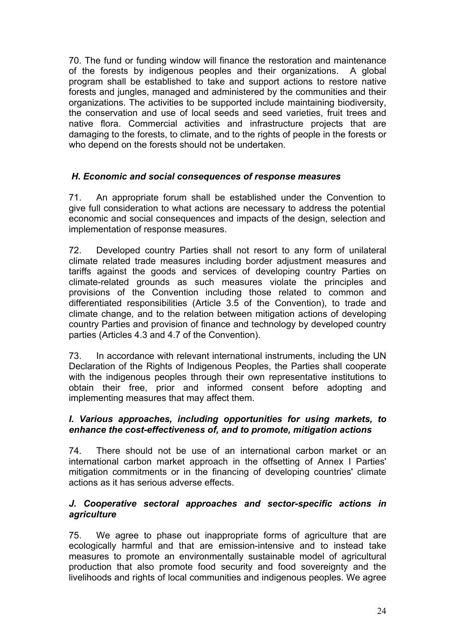70. The fund or funding window will finance the restoration and maintenance of the forests by indigenous peoples and their organizations. A global program shall be established to take and support actions to restore native forests and jungles, managed and administered by the communities and their organizations. The activities to be supported include maintaining biodiversity, the conservation and use of local seeds and seed varieties, fruit trees and native flora. Commercial activities and infrastructure projects that are damaging to the forests, to climate, and to the rights of people in the forests or who depend on the forests should not be undertaken.

# *H. Economic and social consequences of response measures*

71. An appropriate forum shall be established under the Convention to give full consideration to what actions are necessary to address the potential economic and social consequences and impacts of the design, selection and implementation of response measures.

72. Developed country Parties shall not resort to any form of unilateral climate related trade measures including border adjustment measures and tariffs against the goods and services of developing country Parties on climate-related grounds as such measures violate the principles and provisions of the Convention including those related to common and differentiated responsibilities (Article 3.5 of the Convention), to trade and climate change, and to the relation between mitigation actions of developing country Parties and provision of finance and technology by developed country parties (Articles 4.3 and 4.7 of the Convention).

73. In accordance with relevant international instruments, including the UN Declaration of the Rights of Indigenous Peoples, the Parties shall cooperate with the indigenous peoples through their own representative institutions to obtain their free, prior and informed consent before adopting and implementing measures that may affect them.

### *I. Various approaches, including opportunities for using markets, to enhance the cost-effectiveness of, and to promote, mitigation actions*

74. There should not be use of an international carbon market or an international carbon market approach in the offsetting of Annex I Parties' mitigation commitments or in the financing of developing countries' climate actions as it has serious adverse effects.

### *J. Cooperative sectoral approaches and sector-specific actions in agriculture*

75. We agree to phase out inappropriate forms of agriculture that are ecologically harmful and that are emission-intensive and to instead take measures to promote an environmentally sustainable model of agricultural production that also promote food security and food sovereignty and the livelihoods and rights of local communities and indigenous peoples. We agree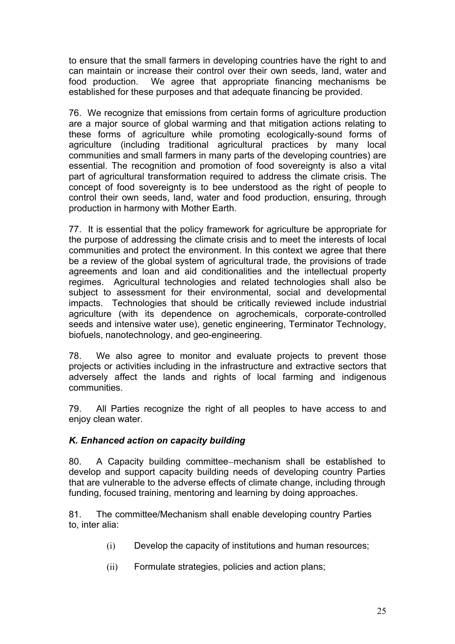to ensure that the small farmers in developing countries have the right to and can maintain or increase their control over their own seeds, land, water and food production. We agree that appropriate financing mechanisms be established for these purposes and that adequate financing be provided.

76. We recognize that emissions from certain forms of agriculture production are a major source of global warming and that mitigation actions relating to these forms of agriculture while promoting ecologically-sound forms of agriculture (including traditional agricultural practices by many local communities and small farmers in many parts of the developing countries) are essential. The recognition and promotion of food sovereignty is also a vital part of agricultural transformation required to address the climate crisis. The concept of food sovereignty is to bee understood as the right of people to control their own seeds, land, water and food production, ensuring, through production in harmony with Mother Earth.

77. It is essential that the policy framework for agriculture be appropriate for the purpose of addressing the climate crisis and to meet the interests of local communities and protect the environment. In this context we agree that there be a review of the global system of agricultural trade, the provisions of trade agreements and loan and aid conditionalities and the intellectual property regimes. Agricultural technologies and related technologies shall also be subject to assessment for their environmental, social and developmental impacts. Technologies that should be critically reviewed include industrial agriculture (with its dependence on agrochemicals, corporate-controlled seeds and intensive water use), genetic engineering, Terminator Technology, biofuels, nanotechnology, and geo-engineering.

78. We also agree to monitor and evaluate projects to prevent those projects or activities including in the infrastructure and extractive sectors that adversely affect the lands and rights of local farming and indigenous communities.

79. All Parties recognize the right of all peoples to have access to and enjoy clean water.

# *K. Enhanced action on capacity building*

80. A Capacity building committee mechanism shall be established to develop and support capacity building needs of developing country Parties that are vulnerable to the adverse effects of climate change, including through funding, focused training, mentoring and learning by doing approaches.

81. The committee/Mechanism shall enable developing country Parties to, inter alia:

- (i) Develop the capacity of institutions and human resources;
- (ii) Formulate strategies, policies and action plans;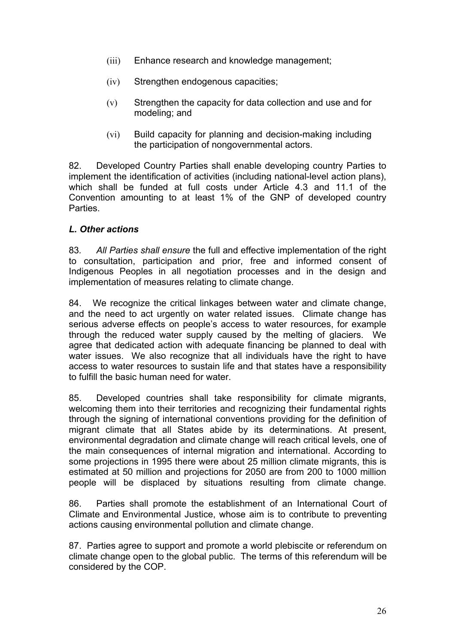- (iii) Enhance research and knowledge management;
- (iv) Strengthen endogenous capacities;
- (v) Strengthen the capacity for data collection and use and for modeling; and
- (vi) Build capacity for planning and decision-making including the participation of nongovernmental actors.

82. Developed Country Parties shall enable developing country Parties to implement the identification of activities (including national-level action plans), which shall be funded at full costs under Article 4.3 and 11.1 of the Convention amounting to at least 1% of the GNP of developed country Parties.

### *L. Other actions*

83*. All Parties shall ensure* the full and effective implementation of the right to consultation, participation and prior, free and informed consent of Indigenous Peoples in all negotiation processes and in the design and implementation of measures relating to climate change.

84. We recognize the critical linkages between water and climate change, and the need to act urgently on water related issues. Climate change has serious adverse effects on people's access to water resources, for example through the reduced water supply caused by the melting of glaciers. We agree that dedicated action with adequate financing be planned to deal with water issues. We also recognize that all individuals have the right to have access to water resources to sustain life and that states have a responsibility to fulfill the basic human need for water.

85. Developed countries shall take responsibility for climate migrants, welcoming them into their territories and recognizing their fundamental rights through the signing of international conventions providing for the definition of migrant climate that all States abide by its determinations. At present, environmental degradation and climate change will reach critical levels, one of the main consequences of internal migration and international. According to some projections in 1995 there were about 25 million climate migrants, this is estimated at 50 million and projections for 2050 are from 200 to 1000 million people will be displaced by situations resulting from climate change.

86. Parties shall promote the establishment of an International Court of Climate and Environmental Justice, whose aim is to contribute to preventing actions causing environmental pollution and climate change.

87. Parties agree to support and promote a world plebiscite or referendum on climate change open to the global public. The terms of this referendum will be considered by the COP.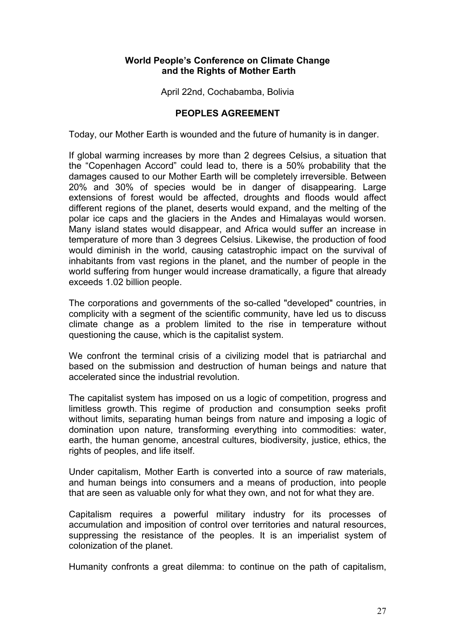### **World Peopleís Conference on Climate Change and the Rights of Mother Earth**

April 22nd, Cochabamba, Bolivia

### **PEOPLES AGREEMENT**

Today, our Mother Earth is wounded and the future of humanity is in danger.

If global warming increases by more than 2 degrees Celsius, a situation that the "Copenhagen Accord" could lead to, there is a 50% probability that the damages caused to our Mother Earth will be completely irreversible. Between 20% and 30% of species would be in danger of disappearing. Large extensions of forest would be affected, droughts and floods would affect different regions of the planet, deserts would expand, and the melting of the polar ice caps and the glaciers in the Andes and Himalayas would worsen. Many island states would disappear, and Africa would suffer an increase in temperature of more than 3 degrees Celsius. Likewise, the production of food would diminish in the world, causing catastrophic impact on the survival of inhabitants from vast regions in the planet, and the number of people in the world suffering from hunger would increase dramatically, a figure that already exceeds 1.02 billion people.

The corporations and governments of the so-called "developed" countries, in complicity with a segment of the scientific community, have led us to discuss climate change as a problem limited to the rise in temperature without questioning the cause, which is the capitalist system.

We confront the terminal crisis of a civilizing model that is patriarchal and based on the submission and destruction of human beings and nature that accelerated since the industrial revolution.

The capitalist system has imposed on us a logic of competition, progress and limitless growth. This regime of production and consumption seeks profit without limits, separating human beings from nature and imposing a logic of domination upon nature, transforming everything into commodities: water, earth, the human genome, ancestral cultures, biodiversity, justice, ethics, the rights of peoples, and life itself.

Under capitalism, Mother Earth is converted into a source of raw materials, and human beings into consumers and a means of production, into people that are seen as valuable only for what they own, and not for what they are.

Capitalism requires a powerful military industry for its processes of accumulation and imposition of control over territories and natural resources, suppressing the resistance of the peoples. It is an imperialist system of colonization of the planet.

Humanity confronts a great dilemma: to continue on the path of capitalism,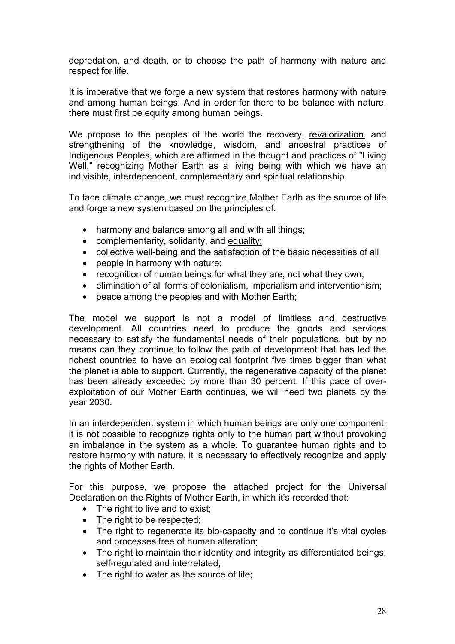depredation, and death, or to choose the path of harmony with nature and respect for life.

It is imperative that we forge a new system that restores harmony with nature and among human beings. And in order for there to be balance with nature, there must first be equity among human beings.

We propose to the peoples of the world the recovery, revalorization, and strengthening of the knowledge, wisdom, and ancestral practices of Indigenous Peoples, which are affirmed in the thought and practices of "Living Well," recognizing Mother Earth as a living being with which we have an indivisible, interdependent, complementary and spiritual relationship.

To face climate change, we must recognize Mother Earth as the source of life and forge a new system based on the principles of:

- harmony and balance among all and with all things;
- complementarity, solidarity, and equality;
- collective well-being and the satisfaction of the basic necessities of all
- people in harmony with nature;
- recognition of human beings for what they are, not what they own:
- elimination of all forms of colonialism, imperialism and interventionism;
- peace among the peoples and with Mother Earth;

The model we support is not a model of limitless and destructive development. All countries need to produce the goods and services necessary to satisfy the fundamental needs of their populations, but by no means can they continue to follow the path of development that has led the richest countries to have an ecological footprint five times bigger than what the planet is able to support. Currently, the regenerative capacity of the planet has been already exceeded by more than 30 percent. If this pace of overexploitation of our Mother Earth continues, we will need two planets by the year 2030.

In an interdependent system in which human beings are only one component, it is not possible to recognize rights only to the human part without provoking an imbalance in the system as a whole. To guarantee human rights and to restore harmony with nature, it is necessary to effectively recognize and apply the rights of Mother Earth.

For this purpose, we propose the attached project for the Universal Declaration on the Rights of Mother Earth, in which it's recorded that:

- The right to live and to exist;
- The right to be respected;
- The right to regenerate its bio-capacity and to continue it's vital cycles and processes free of human alteration;
- The right to maintain their identity and integrity as differentiated beings, self-regulated and interrelated;
- The right to water as the source of life;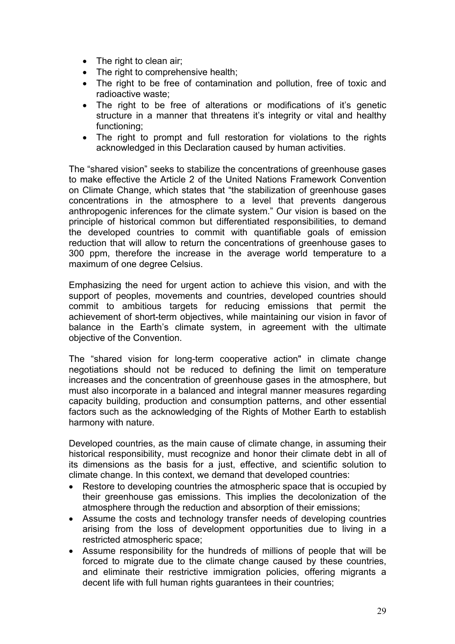- The right to clean air;
- The right to comprehensive health;
- The right to be free of contamination and pollution, free of toxic and radioactive waste;
- The right to be free of alterations or modifications of it's genetic structure in a manner that threatens it's integrity or vital and healthy functioning;
- The right to prompt and full restoration for violations to the rights acknowledged in this Declaration caused by human activities.

The "shared vision" seeks to stabilize the concentrations of greenhouse gases to make effective the Article 2 of the United Nations Framework Convention on Climate Change, which states that "the stabilization of greenhouse gases concentrations in the atmosphere to a level that prevents dangerous anthropogenic inferences for the climate system." Our vision is based on the principle of historical common but differentiated responsibilities, to demand the developed countries to commit with quantifiable goals of emission reduction that will allow to return the concentrations of greenhouse gases to 300 ppm, therefore the increase in the average world temperature to a maximum of one degree Celsius.

Emphasizing the need for urgent action to achieve this vision, and with the support of peoples, movements and countries, developed countries should commit to ambitious targets for reducing emissions that permit the achievement of short-term objectives, while maintaining our vision in favor of balance in the Earth's climate system, in agreement with the ultimate objective of the Convention.

The "shared vision for long-term cooperative action" in climate change negotiations should not be reduced to defining the limit on temperature increases and the concentration of greenhouse gases in the atmosphere, but must also incorporate in a balanced and integral manner measures regarding capacity building, production and consumption patterns, and other essential factors such as the acknowledging of the Rights of Mother Earth to establish harmony with nature.

Developed countries, as the main cause of climate change, in assuming their historical responsibility, must recognize and honor their climate debt in all of its dimensions as the basis for a just, effective, and scientific solution to climate change. In this context, we demand that developed countries:

- Restore to developing countries the atmospheric space that is occupied by their greenhouse gas emissions. This implies the decolonization of the atmosphere through the reduction and absorption of their emissions;
- Assume the costs and technology transfer needs of developing countries arising from the loss of development opportunities due to living in a restricted atmospheric space;
- Assume responsibility for the hundreds of millions of people that will be forced to migrate due to the climate change caused by these countries, and eliminate their restrictive immigration policies, offering migrants a decent life with full human rights guarantees in their countries;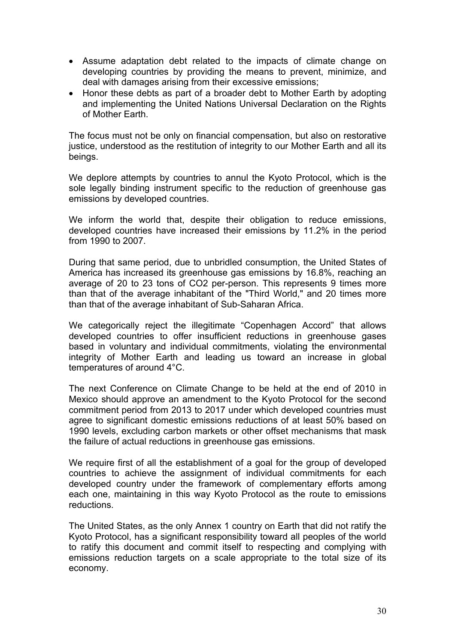- Assume adaptation debt related to the impacts of climate change on developing countries by providing the means to prevent, minimize, and deal with damages arising from their excessive emissions;
- Honor these debts as part of a broader debt to Mother Earth by adopting and implementing the United Nations Universal Declaration on the Rights of Mother Earth.

The focus must not be only on financial compensation, but also on restorative justice, understood as the restitution of integrity to our Mother Earth and all its beings.

We deplore attempts by countries to annul the Kyoto Protocol, which is the sole legally binding instrument specific to the reduction of greenhouse gas emissions by developed countries.

We inform the world that, despite their obligation to reduce emissions, developed countries have increased their emissions by 11.2% in the period from 1990 to 2007.

During that same period, due to unbridled consumption, the United States of America has increased its greenhouse gas emissions by 16.8%, reaching an average of 20 to 23 tons of CO2 per-person. This represents 9 times more than that of the average inhabitant of the "Third World," and 20 times more than that of the average inhabitant of Sub-Saharan Africa.

We categorically reject the illegitimate "Copenhagen Accord" that allows developed countries to offer insufficient reductions in greenhouse gases based in voluntary and individual commitments, violating the environmental integrity of Mother Earth and leading us toward an increase in global temperatures of around 4°C.

The next Conference on Climate Change to be held at the end of 2010 in Mexico should approve an amendment to the Kyoto Protocol for the second commitment period from 2013 to 2017 under which developed countries must agree to significant domestic emissions reductions of at least 50% based on 1990 levels, excluding carbon markets or other offset mechanisms that mask the failure of actual reductions in greenhouse gas emissions.

We require first of all the establishment of a goal for the group of developed countries to achieve the assignment of individual commitments for each developed country under the framework of complementary efforts among each one, maintaining in this way Kyoto Protocol as the route to emissions reductions.

The United States, as the only Annex 1 country on Earth that did not ratify the Kyoto Protocol, has a significant responsibility toward all peoples of the world to ratify this document and commit itself to respecting and complying with emissions reduction targets on a scale appropriate to the total size of its economy.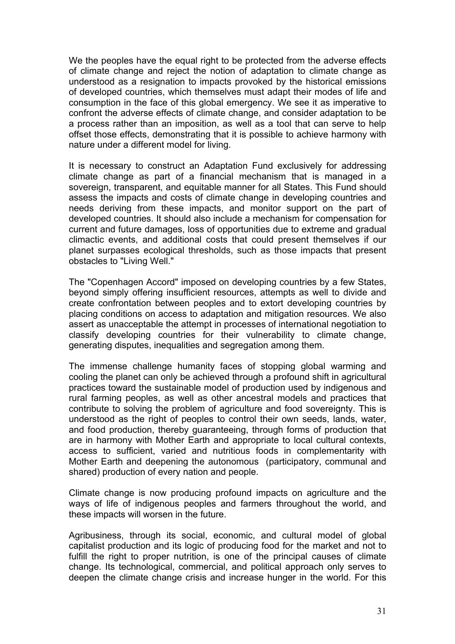We the peoples have the equal right to be protected from the adverse effects of climate change and reject the notion of adaptation to climate change as understood as a resignation to impacts provoked by the historical emissions of developed countries, which themselves must adapt their modes of life and consumption in the face of this global emergency. We see it as imperative to confront the adverse effects of climate change, and consider adaptation to be a process rather than an imposition, as well as a tool that can serve to help offset those effects, demonstrating that it is possible to achieve harmony with nature under a different model for living.

It is necessary to construct an Adaptation Fund exclusively for addressing climate change as part of a financial mechanism that is managed in a sovereign, transparent, and equitable manner for all States. This Fund should assess the impacts and costs of climate change in developing countries and needs deriving from these impacts, and monitor support on the part of developed countries. It should also include a mechanism for compensation for current and future damages, loss of opportunities due to extreme and gradual climactic events, and additional costs that could present themselves if our planet surpasses ecological thresholds, such as those impacts that present obstacles to "Living Well."

The "Copenhagen Accord" imposed on developing countries by a few States, beyond simply offering insufficient resources, attempts as well to divide and create confrontation between peoples and to extort developing countries by placing conditions on access to adaptation and mitigation resources. We also assert as unacceptable the attempt in processes of international negotiation to classify developing countries for their vulnerability to climate change, generating disputes, inequalities and segregation among them.

The immense challenge humanity faces of stopping global warming and cooling the planet can only be achieved through a profound shift in agricultural practices toward the sustainable model of production used by indigenous and rural farming peoples, as well as other ancestral models and practices that contribute to solving the problem of agriculture and food sovereignty. This is understood as the right of peoples to control their own seeds, lands, water, and food production, thereby guaranteeing, through forms of production that are in harmony with Mother Earth and appropriate to local cultural contexts, access to sufficient, varied and nutritious foods in complementarity with Mother Earth and deepening the autonomous (participatory, communal and shared) production of every nation and people.

Climate change is now producing profound impacts on agriculture and the ways of life of indigenous peoples and farmers throughout the world, and these impacts will worsen in the future.

Agribusiness, through its social, economic, and cultural model of global capitalist production and its logic of producing food for the market and not to fulfill the right to proper nutrition, is one of the principal causes of climate change. Its technological, commercial, and political approach only serves to deepen the climate change crisis and increase hunger in the world. For this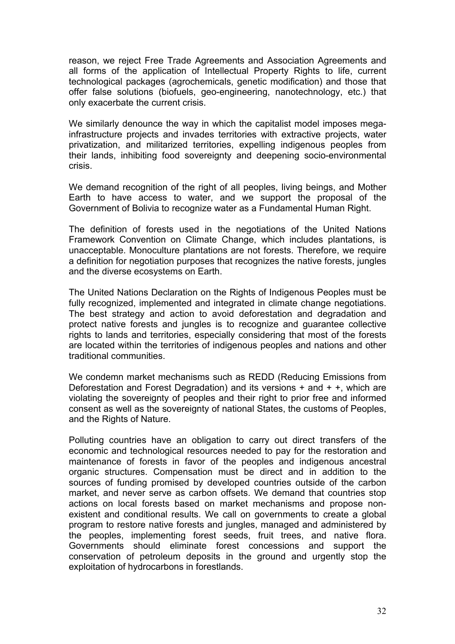reason, we reject Free Trade Agreements and Association Agreements and all forms of the application of Intellectual Property Rights to life, current technological packages (agrochemicals, genetic modification) and those that offer false solutions (biofuels, geo-engineering, nanotechnology, etc.) that only exacerbate the current crisis.

We similarly denounce the way in which the capitalist model imposes megainfrastructure projects and invades territories with extractive projects, water privatization, and militarized territories, expelling indigenous peoples from their lands, inhibiting food sovereignty and deepening socio-environmental crisis.

We demand recognition of the right of all peoples, living beings, and Mother Earth to have access to water, and we support the proposal of the Government of Bolivia to recognize water as a Fundamental Human Right.

The definition of forests used in the negotiations of the United Nations Framework Convention on Climate Change, which includes plantations, is unacceptable. Monoculture plantations are not forests. Therefore, we require a definition for negotiation purposes that recognizes the native forests, jungles and the diverse ecosystems on Earth.

The United Nations Declaration on the Rights of Indigenous Peoples must be fully recognized, implemented and integrated in climate change negotiations. The best strategy and action to avoid deforestation and degradation and protect native forests and jungles is to recognize and guarantee collective rights to lands and territories, especially considering that most of the forests are located within the territories of indigenous peoples and nations and other traditional communities.

We condemn market mechanisms such as REDD (Reducing Emissions from Deforestation and Forest Degradation) and its versions + and + +, which are violating the sovereignty of peoples and their right to prior free and informed consent as well as the sovereignty of national States, the customs of Peoples, and the Rights of Nature.

Polluting countries have an obligation to carry out direct transfers of the economic and technological resources needed to pay for the restoration and maintenance of forests in favor of the peoples and indigenous ancestral organic structures. Compensation must be direct and in addition to the sources of funding promised by developed countries outside of the carbon market, and never serve as carbon offsets. We demand that countries stop actions on local forests based on market mechanisms and propose nonexistent and conditional results. We call on governments to create a global program to restore native forests and jungles, managed and administered by the peoples, implementing forest seeds, fruit trees, and native flora. Governments should eliminate forest concessions and support the conservation of petroleum deposits in the ground and urgently stop the exploitation of hydrocarbons in forestlands.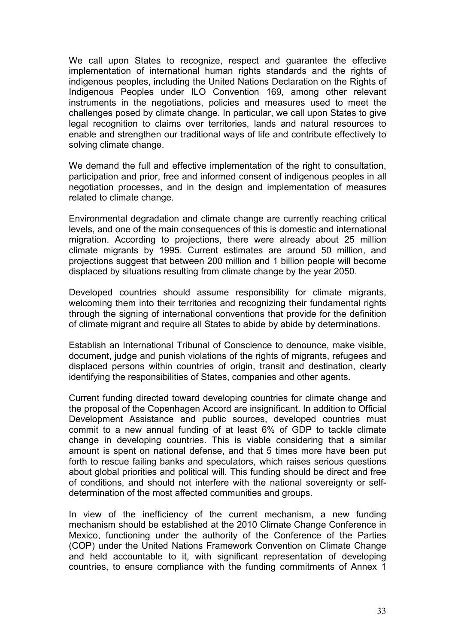We call upon States to recognize, respect and guarantee the effective implementation of international human rights standards and the rights of indigenous peoples, including the United Nations Declaration on the Rights of Indigenous Peoples under ILO Convention 169, among other relevant instruments in the negotiations, policies and measures used to meet the challenges posed by climate change. In particular, we call upon States to give legal recognition to claims over territories, lands and natural resources to enable and strengthen our traditional ways of life and contribute effectively to solving climate change.

We demand the full and effective implementation of the right to consultation, participation and prior, free and informed consent of indigenous peoples in all negotiation processes, and in the design and implementation of measures related to climate change.

Environmental degradation and climate change are currently reaching critical levels, and one of the main consequences of this is domestic and international migration. According to projections, there were already about 25 million climate migrants by 1995. Current estimates are around 50 million, and projections suggest that between 200 million and 1 billion people will become displaced by situations resulting from climate change by the year 2050.

Developed countries should assume responsibility for climate migrants, welcoming them into their territories and recognizing their fundamental rights through the signing of international conventions that provide for the definition of climate migrant and require all States to abide by abide by determinations.

Establish an International Tribunal of Conscience to denounce, make visible, document, judge and punish violations of the rights of migrants, refugees and displaced persons within countries of origin, transit and destination, clearly identifying the responsibilities of States, companies and other agents.

Current funding directed toward developing countries for climate change and the proposal of the Copenhagen Accord are insignificant. In addition to Official Development Assistance and public sources, developed countries must commit to a new annual funding of at least 6% of GDP to tackle climate change in developing countries. This is viable considering that a similar amount is spent on national defense, and that 5 times more have been put forth to rescue failing banks and speculators, which raises serious questions about global priorities and political will. This funding should be direct and free of conditions, and should not interfere with the national sovereignty or selfdetermination of the most affected communities and groups.

In view of the inefficiency of the current mechanism, a new funding mechanism should be established at the 2010 Climate Change Conference in Mexico, functioning under the authority of the Conference of the Parties (COP) under the United Nations Framework Convention on Climate Change and held accountable to it, with significant representation of developing countries, to ensure compliance with the funding commitments of Annex 1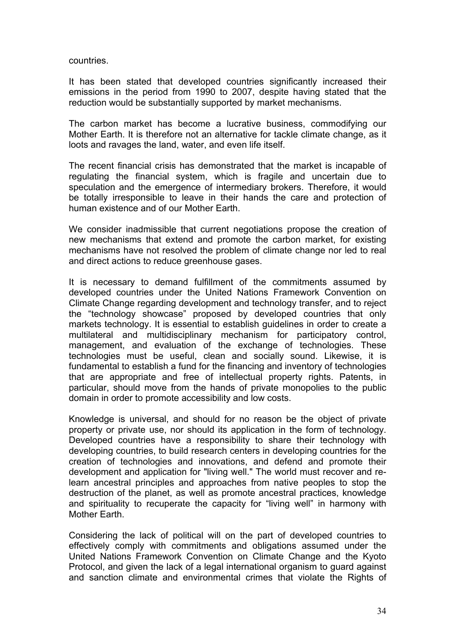countries.

It has been stated that developed countries significantly increased their emissions in the period from 1990 to 2007, despite having stated that the reduction would be substantially supported by market mechanisms.

The carbon market has become a lucrative business, commodifying our Mother Earth. It is therefore not an alternative for tackle climate change, as it loots and ravages the land, water, and even life itself.

The recent financial crisis has demonstrated that the market is incapable of regulating the financial system, which is fragile and uncertain due to speculation and the emergence of intermediary brokers. Therefore, it would be totally irresponsible to leave in their hands the care and protection of human existence and of our Mother Earth.

We consider inadmissible that current negotiations propose the creation of new mechanisms that extend and promote the carbon market, for existing mechanisms have not resolved the problem of climate change nor led to real and direct actions to reduce greenhouse gases.

It is necessary to demand fulfillment of the commitments assumed by developed countries under the United Nations Framework Convention on Climate Change regarding development and technology transfer, and to reject the "technology showcase" proposed by developed countries that only markets technology. It is essential to establish guidelines in order to create a multilateral and multidisciplinary mechanism for participatory control, management, and evaluation of the exchange of technologies. These technologies must be useful, clean and socially sound. Likewise, it is fundamental to establish a fund for the financing and inventory of technologies that are appropriate and free of intellectual property rights. Patents, in particular, should move from the hands of private monopolies to the public domain in order to promote accessibility and low costs.

Knowledge is universal, and should for no reason be the object of private property or private use, nor should its application in the form of technology. Developed countries have a responsibility to share their technology with developing countries, to build research centers in developing countries for the creation of technologies and innovations, and defend and promote their development and application for "living well." The world must recover and relearn ancestral principles and approaches from native peoples to stop the destruction of the planet, as well as promote ancestral practices, knowledge and spirituality to recuperate the capacity for "living well" in harmony with Mother Earth.

Considering the lack of political will on the part of developed countries to effectively comply with commitments and obligations assumed under the United Nations Framework Convention on Climate Change and the Kyoto Protocol, and given the lack of a legal international organism to guard against and sanction climate and environmental crimes that violate the Rights of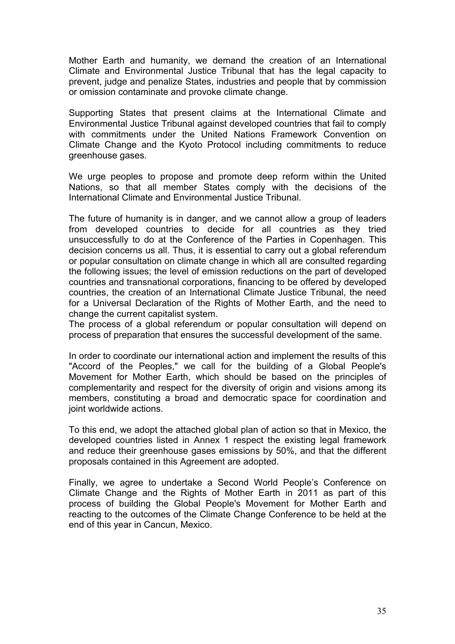Mother Earth and humanity, we demand the creation of an International Climate and Environmental Justice Tribunal that has the legal capacity to prevent, judge and penalize States, industries and people that by commission or omission contaminate and provoke climate change.

Supporting States that present claims at the International Climate and Environmental Justice Tribunal against developed countries that fail to comply with commitments under the United Nations Framework Convention on Climate Change and the Kyoto Protocol including commitments to reduce greenhouse gases.

We urge peoples to propose and promote deep reform within the United Nations, so that all member States comply with the decisions of the International Climate and Environmental Justice Tribunal.

The future of humanity is in danger, and we cannot allow a group of leaders from developed countries to decide for all countries as they tried unsuccessfully to do at the Conference of the Parties in Copenhagen. This decision concerns us all. Thus, it is essential to carry out a global referendum or popular consultation on climate change in which all are consulted regarding the following issues; the level of emission reductions on the part of developed countries and transnational corporations, financing to be offered by developed countries, the creation of an International Climate Justice Tribunal, the need for a Universal Declaration of the Rights of Mother Earth, and the need to change the current capitalist system.

The process of a global referendum or popular consultation will depend on process of preparation that ensures the successful development of the same.

In order to coordinate our international action and implement the results of this "Accord of the Peoples," we call for the building of a Global People's Movement for Mother Earth, which should be based on the principles of complementarity and respect for the diversity of origin and visions among its members, constituting a broad and democratic space for coordination and joint worldwide actions.

To this end, we adopt the attached global plan of action so that in Mexico, the developed countries listed in Annex 1 respect the existing legal framework and reduce their greenhouse gases emissions by 50%, and that the different proposals contained in this Agreement are adopted.

Finally, we agree to undertake a Second World People's Conference on Climate Change and the Rights of Mother Earth in 2011 as part of this process of building the Global People's Movement for Mother Earth and reacting to the outcomes of the Climate Change Conference to be held at the end of this year in Cancun, Mexico.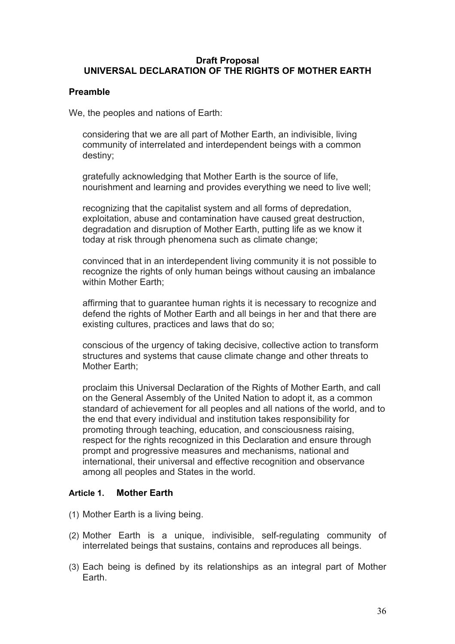### **Draft Proposal UNIVERSAL DECLARATION OF THE RIGHTS OF MOTHER EARTH**

### **Preamble**

We, the peoples and nations of Earth:

considering that we are all part of Mother Earth, an indivisible, living community of interrelated and interdependent beings with a common destiny;

gratefully acknowledging that Mother Earth is the source of life, nourishment and learning and provides everything we need to live well;

recognizing that the capitalist system and all forms of depredation, exploitation, abuse and contamination have caused great destruction, degradation and disruption of Mother Earth, putting life as we know it today at risk through phenomena such as climate change;

convinced that in an interdependent living community it is not possible to recognize the rights of only human beings without causing an imbalance within Mother Earth:

affirming that to guarantee human rights it is necessary to recognize and defend the rights of Mother Earth and all beings in her and that there are existing cultures, practices and laws that do so;

conscious of the urgency of taking decisive, collective action to transform structures and systems that cause climate change and other threats to Mother Earth;

proclaim this Universal Declaration of the Rights of Mother Earth, and call on the General Assembly of the United Nation to adopt it, as a common standard of achievement for all peoples and all nations of the world, and to the end that every individual and institution takes responsibility for promoting through teaching, education, and consciousness raising, respect for the rights recognized in this Declaration and ensure through prompt and progressive measures and mechanisms, national and international, their universal and effective recognition and observance among all peoples and States in the world.

### **Article 1. Mother Earth**

- (1) Mother Earth is a living being.
- (2) Mother Earth is a unique, indivisible, self-regulating community of interrelated beings that sustains, contains and reproduces all beings.
- (3) Each being is defined by its relationships as an integral part of Mother Earth.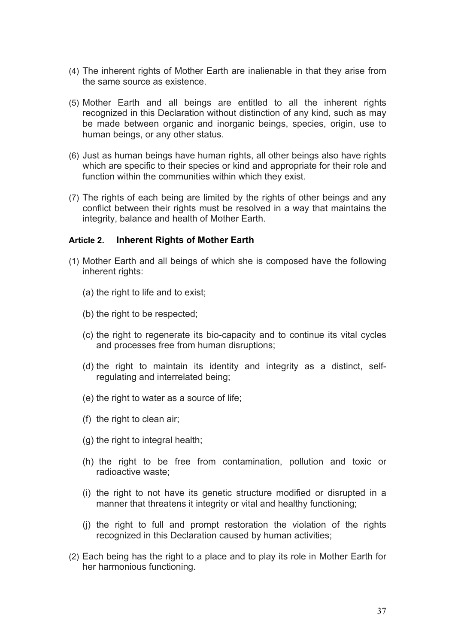- (4) The inherent rights of Mother Earth are inalienable in that they arise from the same source as existence.
- (5) Mother Earth and all beings are entitled to all the inherent rights recognized in this Declaration without distinction of any kind, such as may be made between organic and inorganic beings, species, origin, use to human beings, or any other status.
- (6) Just as human beings have human rights, all other beings also have rights which are specific to their species or kind and appropriate for their role and function within the communities within which they exist.
- (7) The rights of each being are limited by the rights of other beings and any conflict between their rights must be resolved in a way that maintains the integrity, balance and health of Mother Earth.

#### **Article 2. Inherent Rights of Mother Earth**

- (1) Mother Earth and all beings of which she is composed have the following inherent rights:
	- (a) the right to life and to exist;
	- (b) the right to be respected;
	- (c) the right to regenerate its bio-capacity and to continue its vital cycles and processes free from human disruptions;
	- (d) the right to maintain its identity and integrity as a distinct, selfregulating and interrelated being;
	- (e) the right to water as a source of life;
	- (f) the right to clean air;
	- (g) the right to integral health;
	- (h) the right to be free from contamination, pollution and toxic or radioactive waste;
	- (i) the right to not have its genetic structure modified or disrupted in a manner that threatens it integrity or vital and healthy functioning;
	- (j) the right to full and prompt restoration the violation of the rights recognized in this Declaration caused by human activities;
- (2) Each being has the right to a place and to play its role in Mother Earth for her harmonious functioning.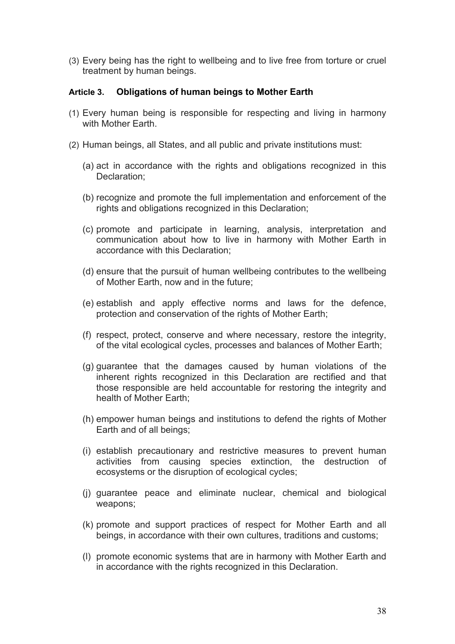(3) Every being has the right to wellbeing and to live free from torture or cruel treatment by human beings.

#### **Article 3. Obligations of human beings to Mother Earth**

- (1) Every human being is responsible for respecting and living in harmony with Mother Farth
- (2) Human beings, all States, and all public and private institutions must:
	- (a) act in accordance with the rights and obligations recognized in this Declaration;
	- (b) recognize and promote the full implementation and enforcement of the rights and obligations recognized in this Declaration;
	- (c) promote and participate in learning, analysis, interpretation and communication about how to live in harmony with Mother Earth in accordance with this Declaration;
	- (d) ensure that the pursuit of human wellbeing contributes to the wellbeing of Mother Earth, now and in the future;
	- (e) establish and apply effective norms and laws for the defence, protection and conservation of the rights of Mother Earth;
	- (f) respect, protect, conserve and where necessary, restore the integrity, of the vital ecological cycles, processes and balances of Mother Earth;
	- (g) guarantee that the damages caused by human violations of the inherent rights recognized in this Declaration are rectified and that those responsible are held accountable for restoring the integrity and health of Mother Earth;
	- (h) empower human beings and institutions to defend the rights of Mother Earth and of all beings;
	- (i) establish precautionary and restrictive measures to prevent human activities from causing species extinction, the destruction of ecosystems or the disruption of ecological cycles;
	- (j) guarantee peace and eliminate nuclear, chemical and biological weapons;
	- (k) promote and support practices of respect for Mother Earth and all beings, in accordance with their own cultures, traditions and customs;
	- (l) promote economic systems that are in harmony with Mother Earth and in accordance with the rights recognized in this Declaration.